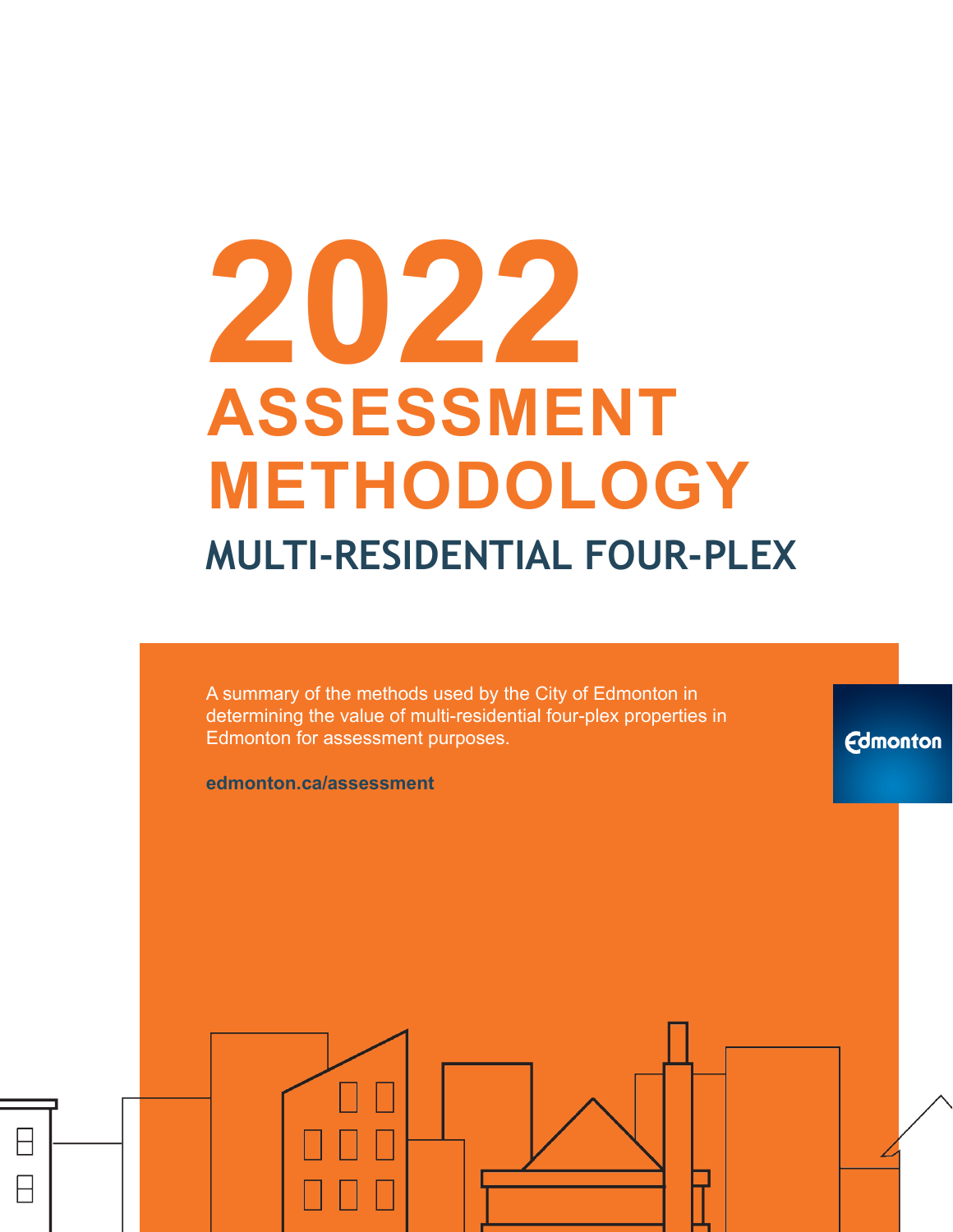# **2022 ASSESSMENT METHODOLOGY MULTI-RESIDENTIAL FOUR-PLEX**

A summary of the methods used by the City of Edmonton in determining the value of multi-residential four-plex properties in Edmonton for assessment purposes.

**Edmonton** 

**edmonton.ca/assessment**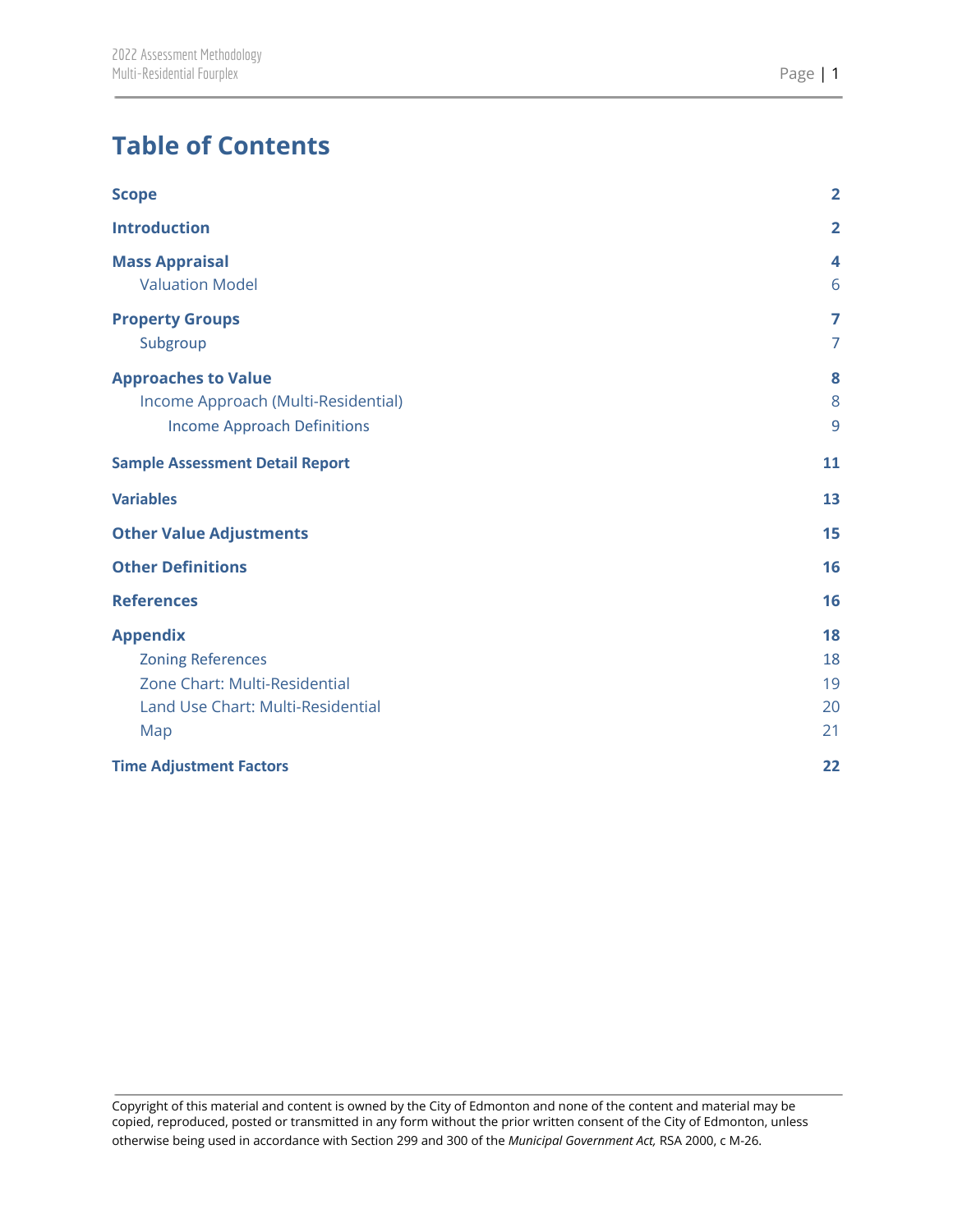# **Table of Contents**

| <b>Scope</b>                                                                                                             | $\overline{2}$             |
|--------------------------------------------------------------------------------------------------------------------------|----------------------------|
| <b>Introduction</b>                                                                                                      | $\overline{2}$             |
| <b>Mass Appraisal</b><br><b>Valuation Model</b>                                                                          | 4<br>6                     |
| <b>Property Groups</b><br>Subgroup                                                                                       | 7<br>$\overline{7}$        |
| <b>Approaches to Value</b><br>Income Approach (Multi-Residential)<br><b>Income Approach Definitions</b>                  | 8<br>8<br>9                |
| <b>Sample Assessment Detail Report</b>                                                                                   | 11                         |
| <b>Variables</b>                                                                                                         | 13                         |
| <b>Other Value Adjustments</b>                                                                                           | 15                         |
| <b>Other Definitions</b>                                                                                                 | 16                         |
| <b>References</b>                                                                                                        | 16                         |
| <b>Appendix</b><br><b>Zoning References</b><br>Zone Chart: Multi-Residential<br>Land Use Chart: Multi-Residential<br>Map | 18<br>18<br>19<br>20<br>21 |
| <b>Time Adjustment Factors</b>                                                                                           | 22                         |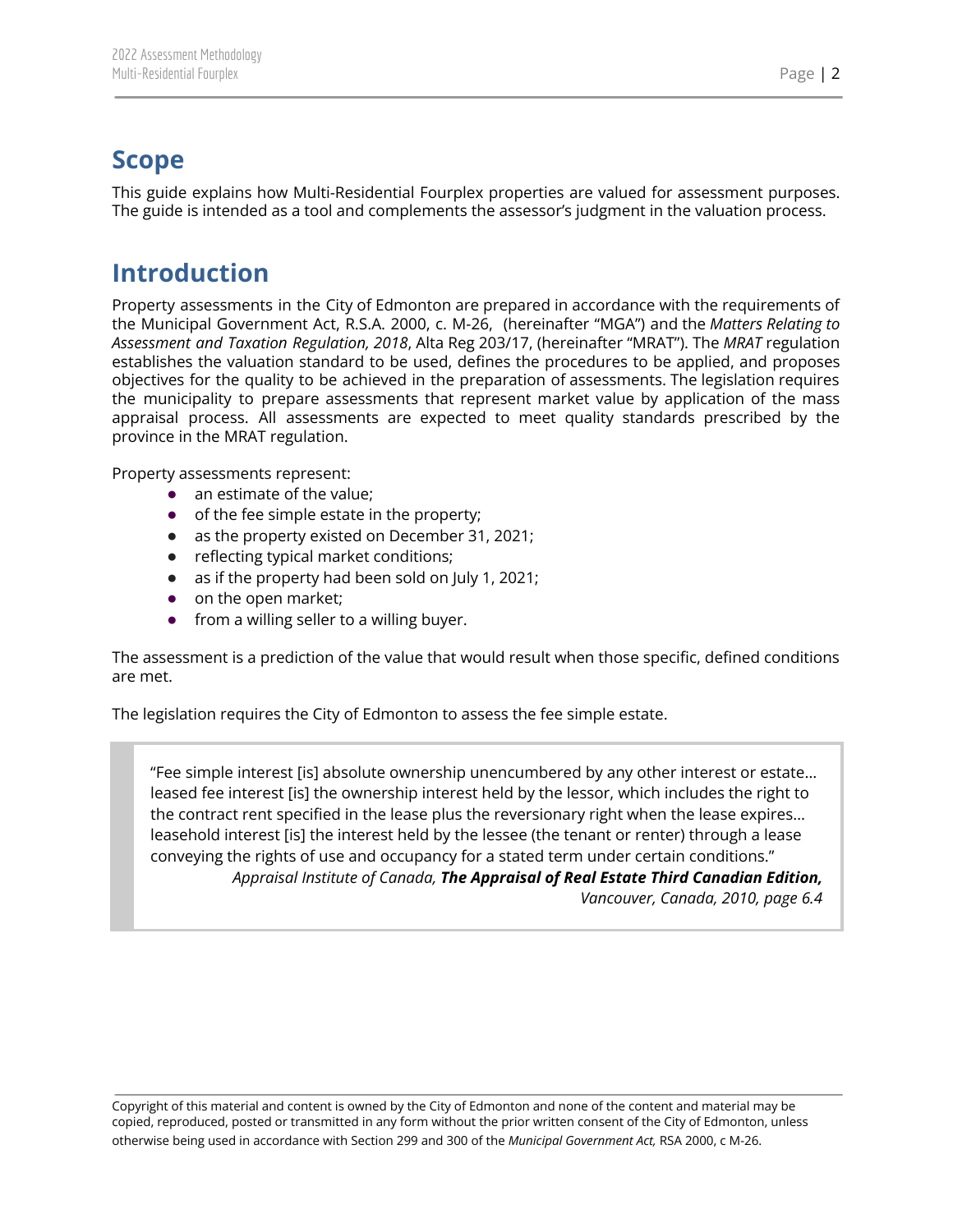# <span id="page-2-0"></span>**Scope**

<span id="page-2-1"></span>This guide explains how Multi-Residential Fourplex properties are valued for assessment purposes. The guide is intended as a tool and complements the assessor's judgment in the valuation process.

## **Introduction**

Property assessments in the City of Edmonton are prepared in accordance with the requirements of the Municipal Government Act, R.S.A. 2000, c. M-26, (hereinafter "MGA") and the *Matters Relating to Assessment and Taxation Regulation, 2018*, Alta Reg 203/17, (hereinafter "MRAT"). The *MRAT* regulation establishes the valuation standard to be used, defines the procedures to be applied, and proposes objectives for the quality to be achieved in the preparation of assessments. The legislation requires the municipality to prepare assessments that represent market value by application of the mass appraisal process. All assessments are expected to meet quality standards prescribed by the province in the MRAT regulation.

Property assessments represent:

- an estimate of the value;
- of the fee simple estate in the property;
- as the property existed on December 31, 2021;
- reflecting typical market conditions;
- as if the property had been sold on July 1, 2021;
- on the open market;
- from a willing seller to a willing buyer.

The assessment is a prediction of the value that would result when those specific, defined conditions are met.

The legislation requires the City of Edmonton to assess the fee simple estate.

"Fee simple interest [is] absolute ownership unencumbered by any other interest or estate… leased fee interest [is] the ownership interest held by the lessor, which includes the right to the contract rent specified in the lease plus the reversionary right when the lease expires… leasehold interest [is] the interest held by the lessee (the tenant or renter) through a lease conveying the rights of use and occupancy for a stated term under certain conditions." *Appraisal Institute of Canada, The Appraisal of Real Estate Third Canadian Edition, Vancouver, Canada, 2010, page 6.4*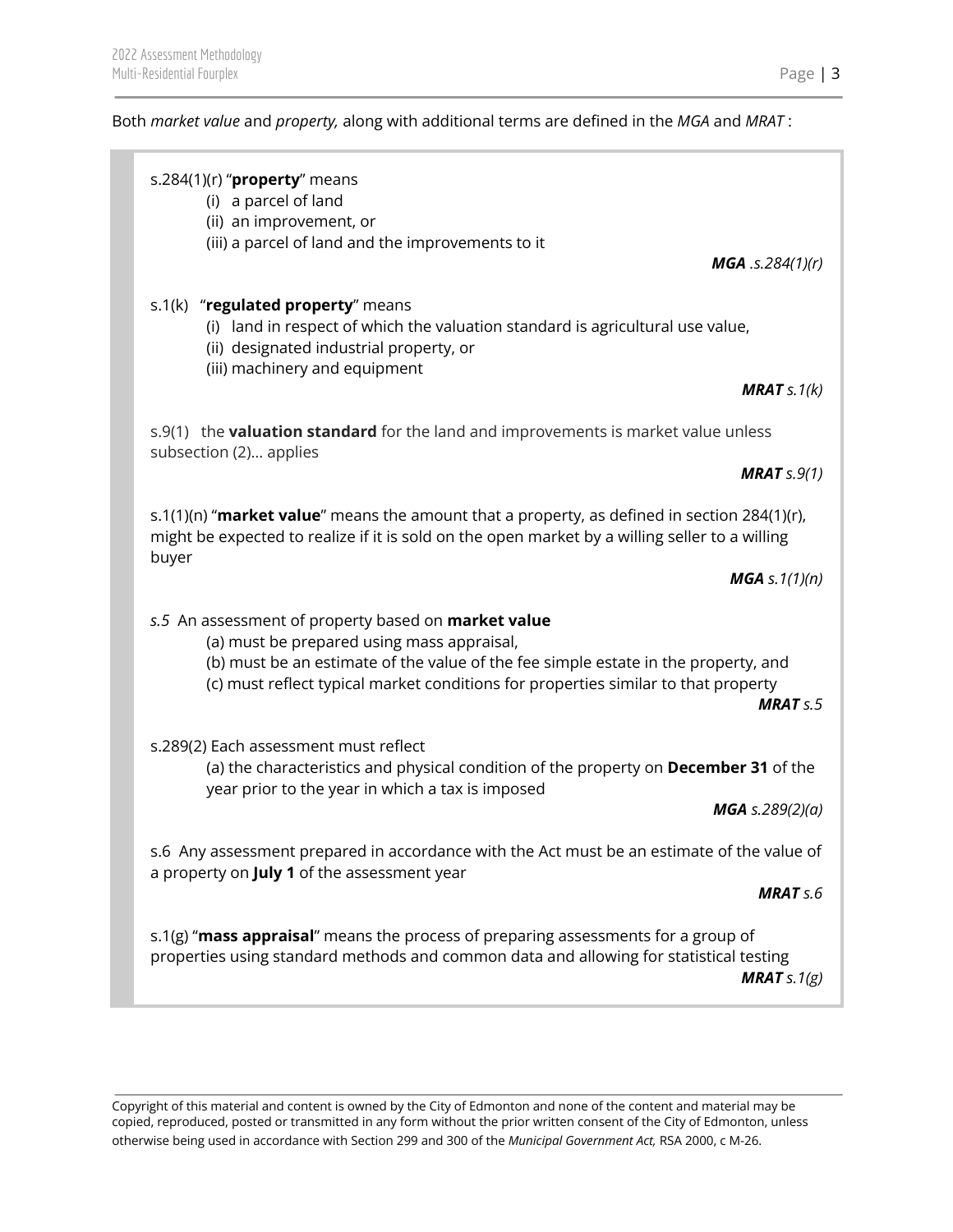### Both *market value* and *property,* along with additional terms are defined in the *MGA* and *MRAT* :

| s.284(1)(r) " $proper$ y means<br>(i) a parcel of land<br>(ii) an improvement, or<br>(iii) a parcel of land and the improvements to it<br><b>MGA</b> .s.284 $(1)(r)$                                                                                                                     |
|------------------------------------------------------------------------------------------------------------------------------------------------------------------------------------------------------------------------------------------------------------------------------------------|
| s.1(k) "regulated property" means<br>(i) land in respect of which the valuation standard is agricultural use value,<br>(ii) designated industrial property, or<br>(iii) machinery and equipment<br><b>MRAT</b> $s.1(k)$                                                                  |
| s.9(1) the <b>valuation standard</b> for the land and improvements is market value unless<br>subsection (2) applies<br><b>MRAT</b> $s.9(1)$                                                                                                                                              |
| s.1(1)(n) "market value" means the amount that a property, as defined in section 284(1)(r),<br>might be expected to realize if it is sold on the open market by a willing seller to a willing<br>buyer                                                                                   |
| <b>MGA</b> s. $1(1)(n)$                                                                                                                                                                                                                                                                  |
| s.5 An assessment of property based on market value<br>(a) must be prepared using mass appraisal,<br>(b) must be an estimate of the value of the fee simple estate in the property, and<br>(c) must reflect typical market conditions for properties similar to that property<br>MRATS.5 |
| s.289(2) Each assessment must reflect<br>(a) the characteristics and physical condition of the property on December 31 of the<br>year prior to the year in which a tax is imposed                                                                                                        |
| <b>MGA</b> s.289(2)(a)                                                                                                                                                                                                                                                                   |
| s.6 Any assessment prepared in accordance with the Act must be an estimate of the value of<br>a property on July 1 of the assessment year                                                                                                                                                |
| <b>MRAT</b> s.6                                                                                                                                                                                                                                                                          |
| s.1(g) "mass appraisal" means the process of preparing assessments for a group of<br>properties using standard methods and common data and allowing for statistical testing<br><b>MRAT</b> s. $1(g)$                                                                                     |
|                                                                                                                                                                                                                                                                                          |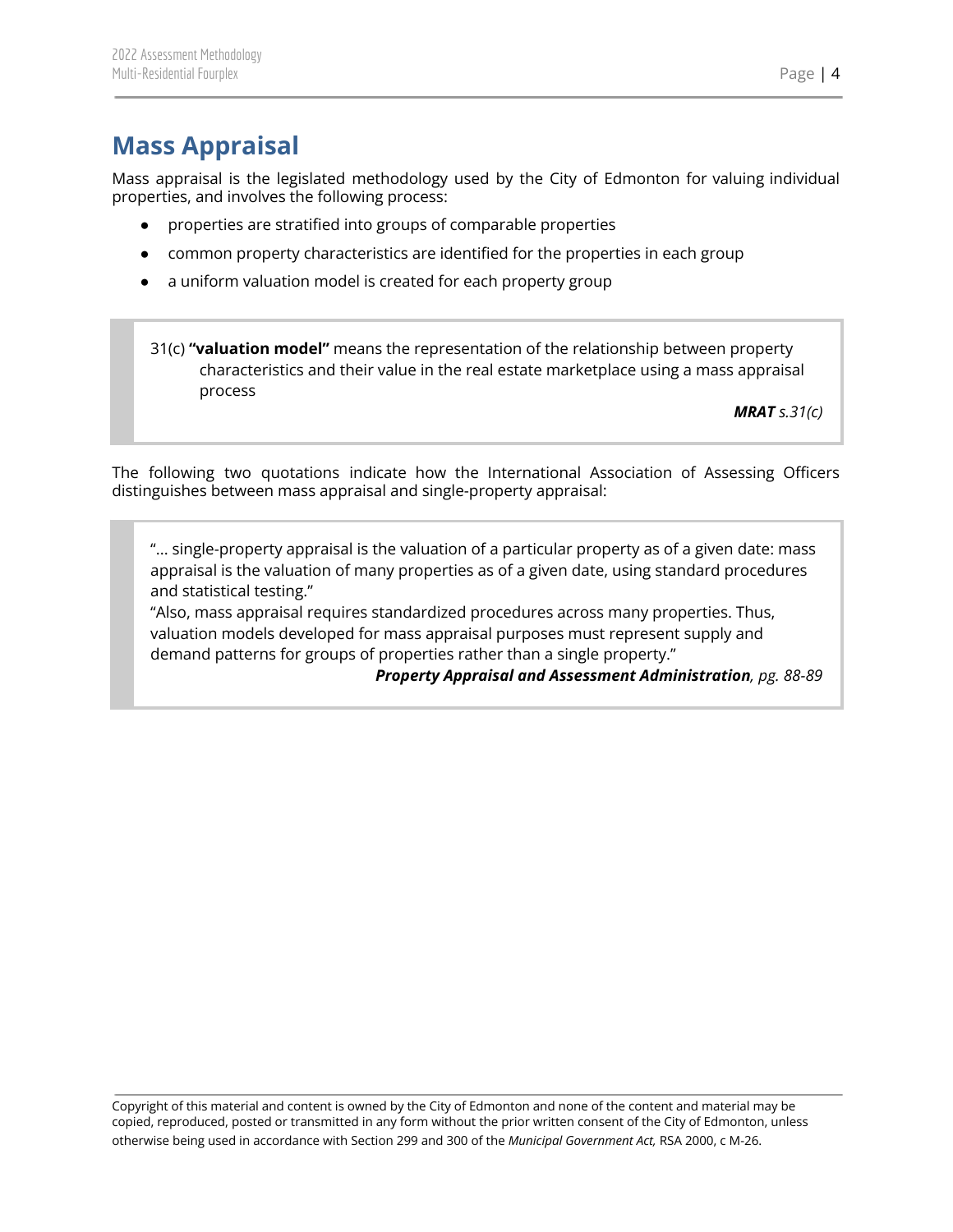# <span id="page-4-0"></span>**Mass Appraisal**

Mass appraisal is the legislated methodology used by the City of Edmonton for valuing individual properties, and involves the following process:

- properties are stratified into groups of comparable properties
- common property characteristics are identified for the properties in each group
- a uniform valuation model is created for each property group

31(c) **"valuation model"** means the representation of the relationship between property characteristics and their value in the real estate marketplace using a mass appraisal process

*MRAT s.31(c)*

The following two quotations indicate how the International Association of Assessing Officers distinguishes between mass appraisal and single-property appraisal:

"... single-property appraisal is the valuation of a particular property as of a given date: mass appraisal is the valuation of many properties as of a given date, using standard procedures and statistical testing."

"Also, mass appraisal requires standardized procedures across many properties. Thus, valuation models developed for mass appraisal purposes must represent supply and demand patterns for groups of properties rather than a single property."

*Property Appraisal and Assessment Administration, pg. 88-89*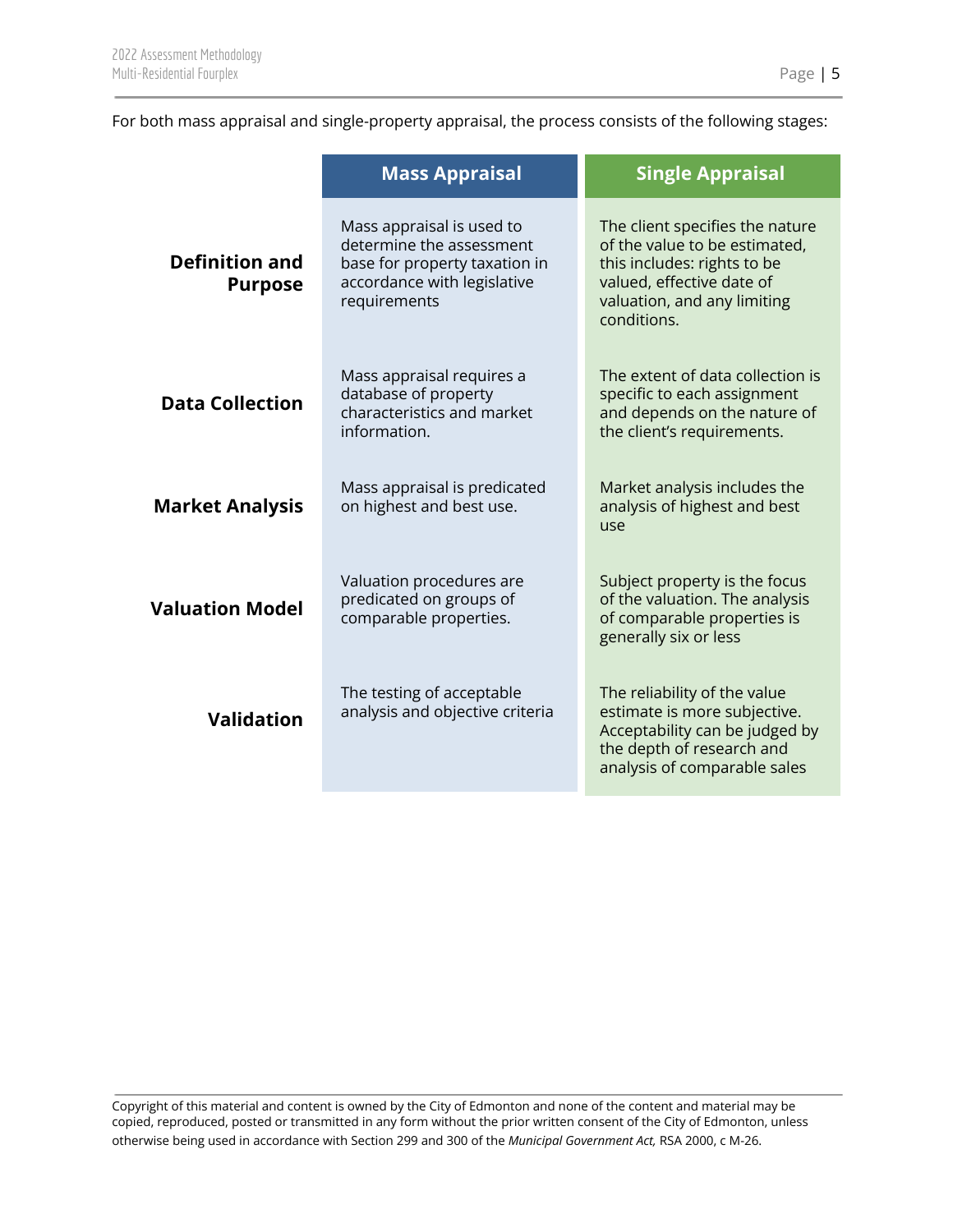For both mass appraisal and single-property appraisal, the process consists of the following stages:

|                                                                                                                           | <b>Mass Appraisal</b>                                                                                                                 | <b>Single Appraisal</b>                                                                                                                                                    |  |
|---------------------------------------------------------------------------------------------------------------------------|---------------------------------------------------------------------------------------------------------------------------------------|----------------------------------------------------------------------------------------------------------------------------------------------------------------------------|--|
| <b>Definition and</b><br><b>Purpose</b>                                                                                   | Mass appraisal is used to<br>determine the assessment<br>base for property taxation in<br>accordance with legislative<br>requirements | The client specifies the nature<br>of the value to be estimated,<br>this includes: rights to be<br>valued, effective date of<br>valuation, and any limiting<br>conditions. |  |
| Mass appraisal requires a<br>database of property<br><b>Data Collection</b><br>characteristics and market<br>information. |                                                                                                                                       | The extent of data collection is<br>specific to each assignment<br>and depends on the nature of<br>the client's requirements.                                              |  |
| <b>Market Analysis</b>                                                                                                    | Mass appraisal is predicated<br>on highest and best use.                                                                              | Market analysis includes the<br>analysis of highest and best<br>use                                                                                                        |  |
| <b>Valuation Model</b>                                                                                                    | Valuation procedures are<br>predicated on groups of<br>comparable properties.                                                         | Subject property is the focus<br>of the valuation. The analysis<br>of comparable properties is<br>generally six or less                                                    |  |
| <b>Validation</b>                                                                                                         | The testing of acceptable<br>analysis and objective criteria                                                                          | The reliability of the value<br>estimate is more subjective.<br>Acceptability can be judged by<br>the depth of research and<br>analysis of comparable sales                |  |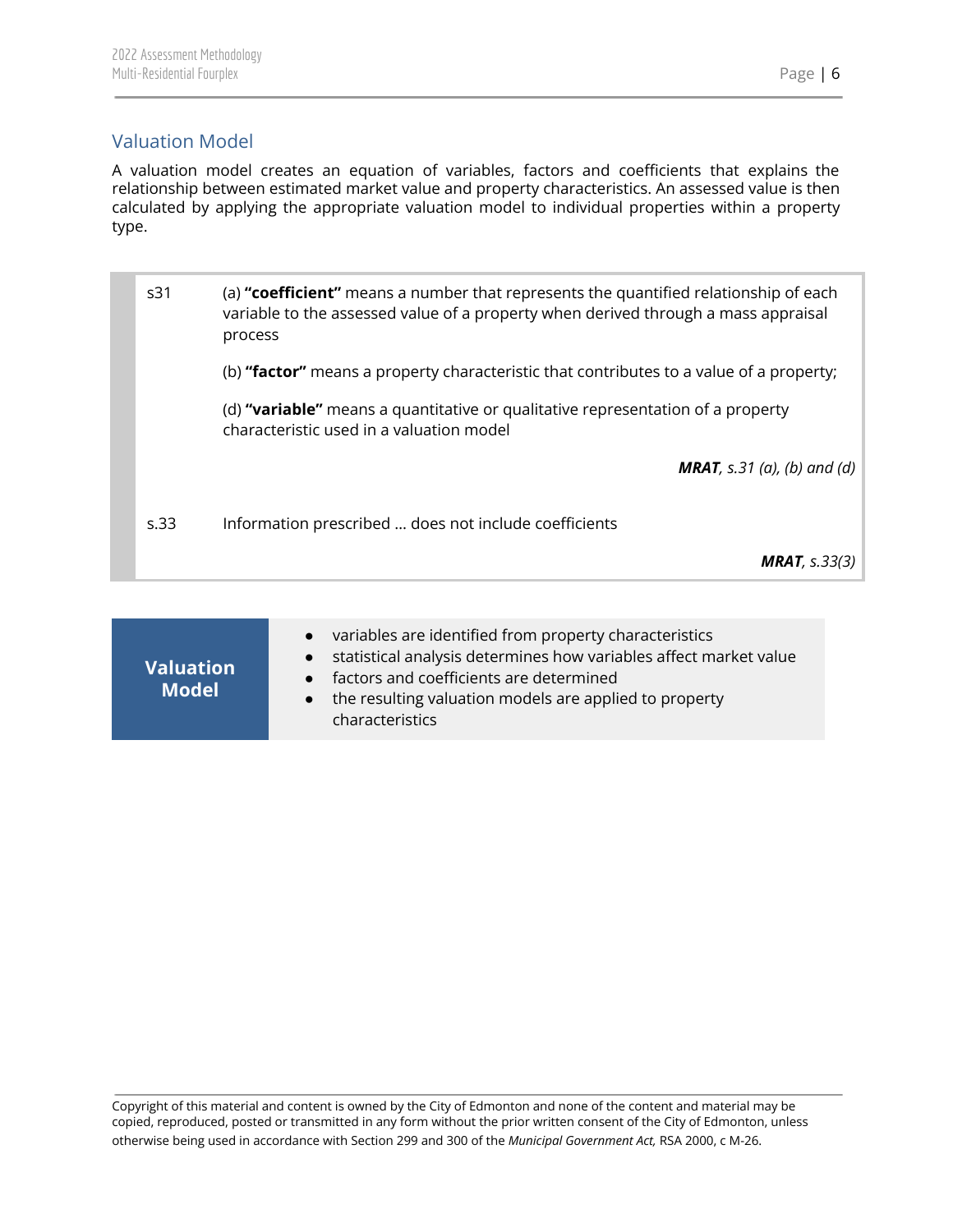## <span id="page-6-0"></span>Valuation Model

A valuation model creates an equation of variables, factors and coefficients that explains the relationship between estimated market value and property characteristics. An assessed value is then calculated by applying the appropriate valuation model to individual properties within a property type.

| s <sub>31</sub> | (a) "coefficient" means a number that represents the quantified relationship of each<br>variable to the assessed value of a property when derived through a mass appraisal<br>process |
|-----------------|---------------------------------------------------------------------------------------------------------------------------------------------------------------------------------------|
|                 | (b) "factor" means a property characteristic that contributes to a value of a property;                                                                                               |
|                 | (d) "variable" means a quantitative or qualitative representation of a property<br>characteristic used in a valuation model                                                           |
|                 | <b>MRAT</b> , s.31 (a), (b) and (d)                                                                                                                                                   |
| s.33            | Information prescribed  does not include coefficients                                                                                                                                 |
|                 | <b>MRAT</b> , $s.33(3)$                                                                                                                                                               |

| <b>Valuation</b><br><b>Model</b> | variables are identified from property characteristics<br>statistical analysis determines how variables affect market value<br>factors and coefficients are determined<br>$\bullet$<br>the resulting valuation models are applied to property<br>characteristics |
|----------------------------------|------------------------------------------------------------------------------------------------------------------------------------------------------------------------------------------------------------------------------------------------------------------|
|----------------------------------|------------------------------------------------------------------------------------------------------------------------------------------------------------------------------------------------------------------------------------------------------------------|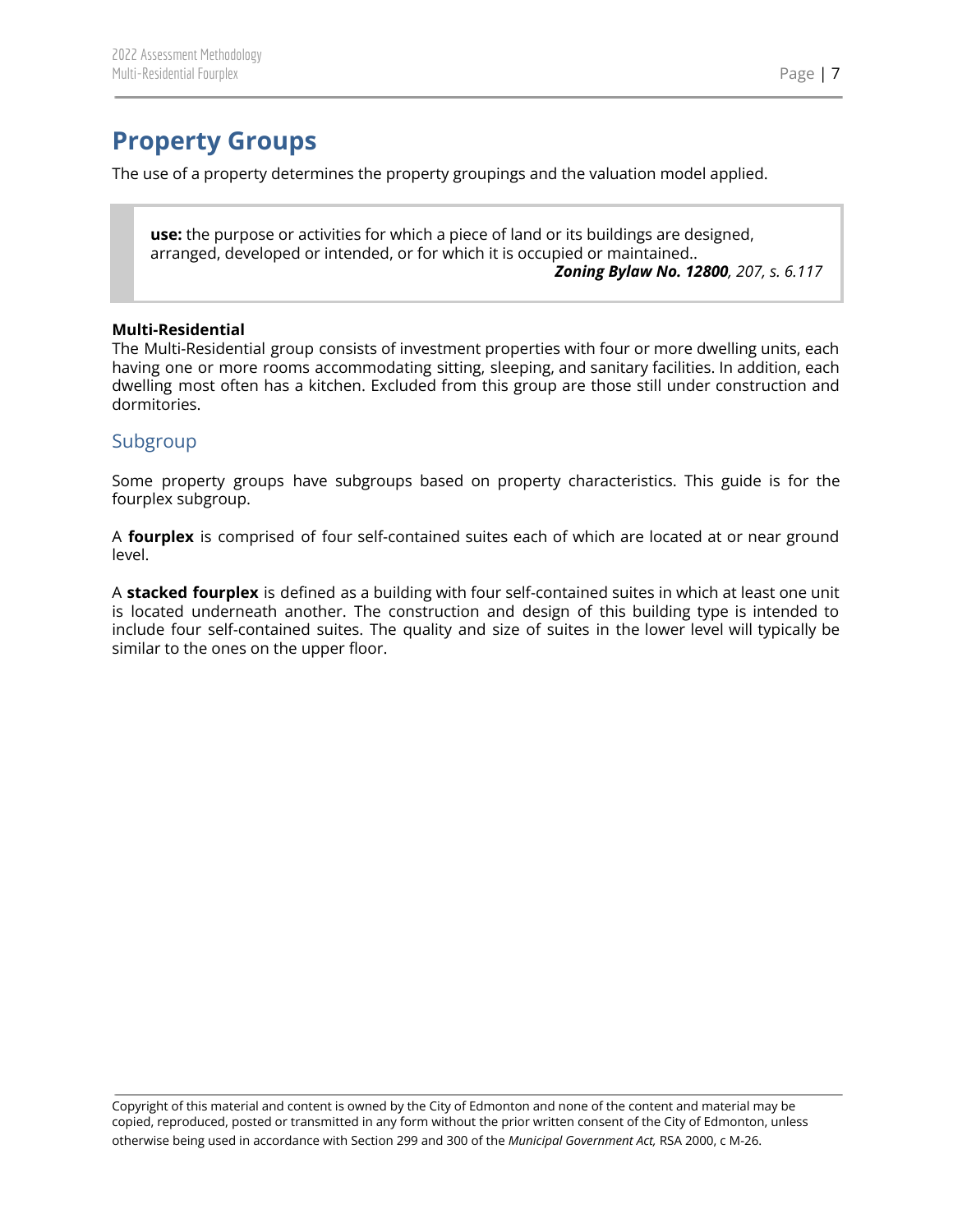# <span id="page-7-0"></span>**Property Groups**

The use of a property determines the property groupings and the valuation model applied.

**use:** the purpose or activities for which a piece of land or its buildings are designed, arranged, developed or intended, or for which it is occupied or maintained.. *Zoning Bylaw No. 12800, 207, s. 6.117*

#### **Multi-Residential**

The Multi-Residential group consists of investment properties with four or more dwelling units, each having one or more rooms accommodating sitting, sleeping, and sanitary facilities. In addition, each dwelling most often has a kitchen. Excluded from this group are those still under construction and dormitories.

#### <span id="page-7-1"></span>Subgroup

Some property groups have subgroups based on property characteristics. This guide is for the fourplex subgroup.

A **fourplex** is comprised of four self-contained suites each of which are located at or near ground level.

A **stacked fourplex** is defined as a building with four self-contained suites in which at least one unit is located underneath another. The construction and design of this building type is intended to include four self-contained suites. The quality and size of suites in the lower level will typically be similar to the ones on the upper floor.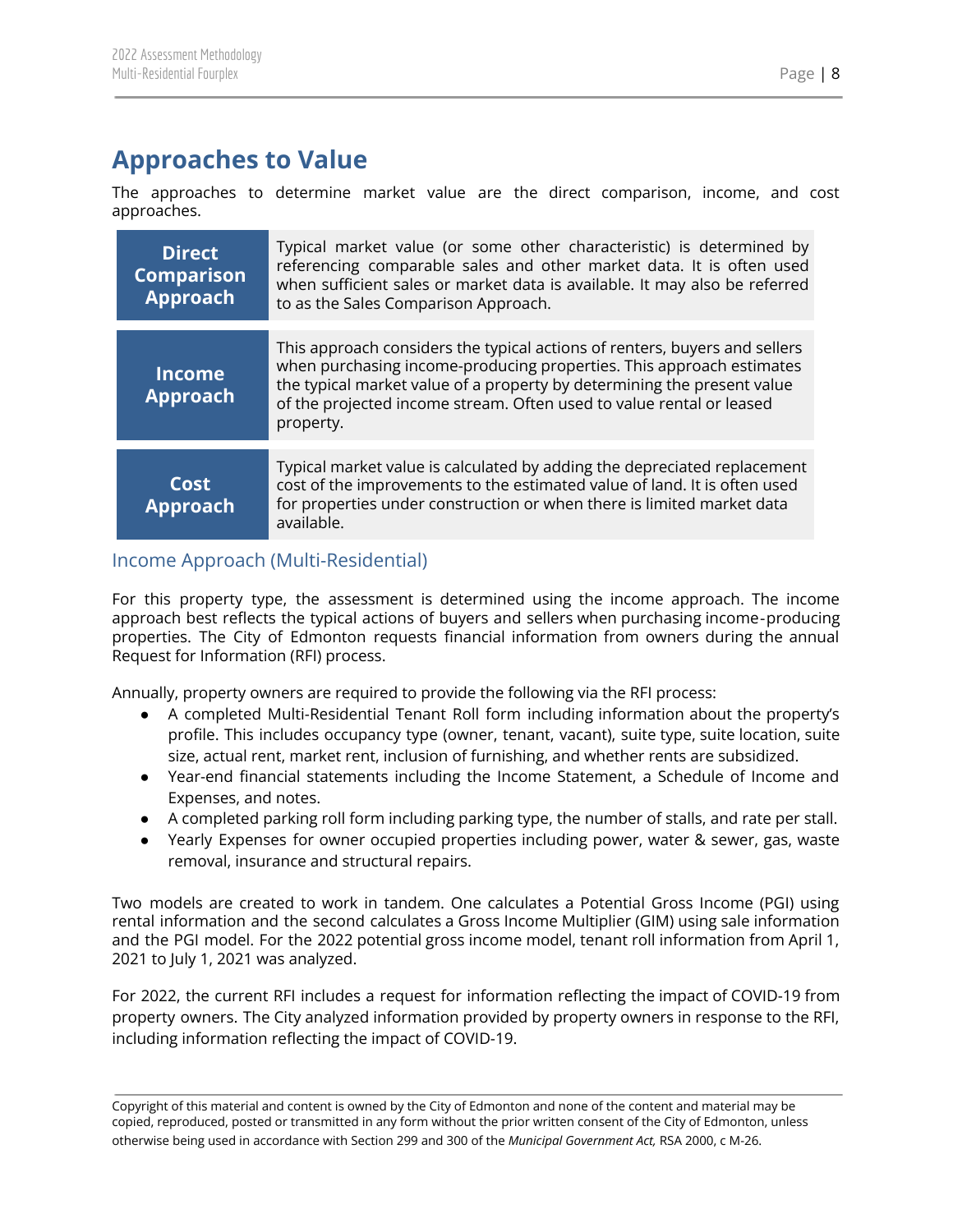# <span id="page-8-0"></span>**Approaches to Value**

The approaches to determine market value are the direct comparison, income, and cost approaches.

| <b>Direct</b><br><b>Comparison</b><br>Approach | Typical market value (or some other characteristic) is determined by<br>referencing comparable sales and other market data. It is often used<br>when sufficient sales or market data is available. It may also be referred<br>to as the Sales Comparison Approach.                                                 |
|------------------------------------------------|--------------------------------------------------------------------------------------------------------------------------------------------------------------------------------------------------------------------------------------------------------------------------------------------------------------------|
| <b>Income</b><br><b>Approach</b>               | This approach considers the typical actions of renters, buyers and sellers<br>when purchasing income-producing properties. This approach estimates<br>the typical market value of a property by determining the present value<br>of the projected income stream. Often used to value rental or leased<br>property. |
| Cost<br><b>Approach</b>                        | Typical market value is calculated by adding the depreciated replacement<br>cost of the improvements to the estimated value of land. It is often used<br>for properties under construction or when there is limited market data<br>available.                                                                      |

## <span id="page-8-1"></span>Income Approach (Multi-Residential)

For this property type, the assessment is determined using the income approach. The income approach best reflects the typical actions of buyers and sellers when purchasing income‐producing properties. The City of Edmonton requests financial information from owners during the annual Request for Information (RFI) process.

Annually, property owners are required to provide the following via the RFI process:

- A completed Multi-Residential Tenant Roll form including information about the property's profile. This includes occupancy type (owner, tenant, vacant), suite type, suite location, suite size, actual rent, market rent, inclusion of furnishing, and whether rents are subsidized.
- Year-end financial statements including the Income Statement, a Schedule of Income and Expenses, and notes.
- A completed parking roll form including parking type, the number of stalls, and rate per stall.
- Yearly Expenses for owner occupied properties including power, water & sewer, gas, waste removal, insurance and structural repairs.

Two models are created to work in tandem. One calculates a Potential Gross Income (PGI) using rental information and the second calculates a Gross Income Multiplier (GIM) using sale information and the PGI model. For the 2022 potential gross income model, tenant roll information from April 1, 2021 to July 1, 2021 was analyzed.

For 2022, the current RFI includes a request for information reflecting the impact of COVID-19 from property owners. The City analyzed information provided by property owners in response to the RFI, including information reflecting the impact of COVID-19.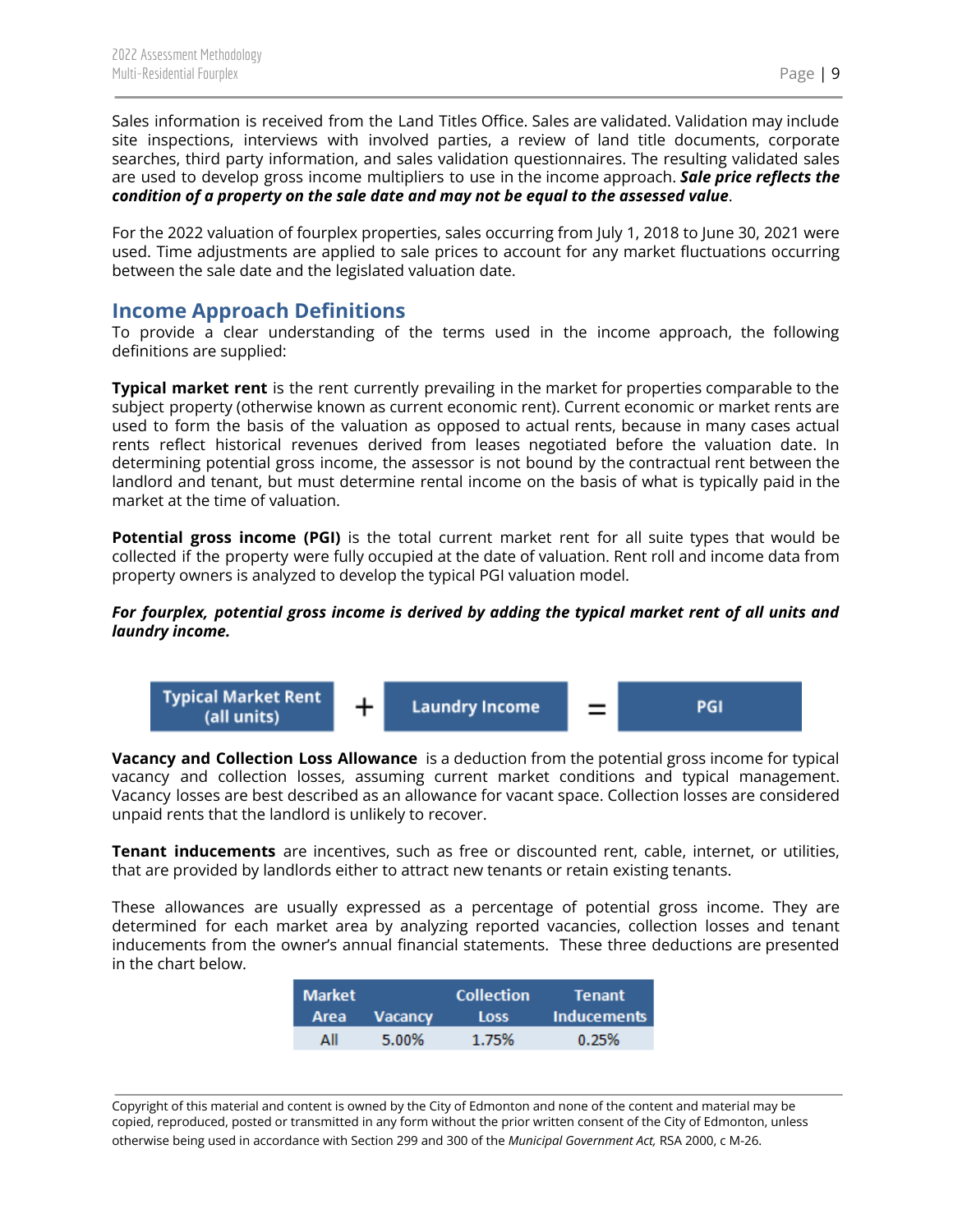Sales information is received from the Land Titles Office. Sales are validated. Validation may include site inspections, interviews with involved parties, a review of land title documents, corporate searches, third party information, and sales validation questionnaires. The resulting validated sales are used to develop gross income multipliers to use in the income approach. *Sale price reflects the condition of a property on the sale date and may not be equal to the assessed value*.

For the 2022 valuation of fourplex properties, sales occurring from July 1, 2018 to June 30, 2021 were used. Time adjustments are applied to sale prices to account for any market fluctuations occurring between the sale date and the legislated valuation date.

## <span id="page-9-0"></span>**Income Approach Definitions**

To provide a clear understanding of the terms used in the income approach, the following definitions are supplied:

**Typical market rent** is the rent currently prevailing in the market for properties comparable to the subject property (otherwise known as current economic rent). Current economic or market rents are used to form the basis of the valuation as opposed to actual rents, because in many cases actual rents reflect historical revenues derived from leases negotiated before the valuation date. In determining potential gross income, the assessor is not bound by the contractual rent between the landlord and tenant, but must determine rental income on the basis of what is typically paid in the market at the time of valuation.

**Potential gross income (PGI)** is the total current market rent for all suite types that would be collected if the property were fully occupied at the date of valuation. Rent roll and income data from property owners is analyzed to develop the typical PGI valuation model.

#### *For fourplex, potential gross income is derived by adding the typical market rent of all units and laundry income.*



**Vacancy and Collection Loss Allowance** is a deduction from the potential gross income for typical vacancy and collection losses, assuming current market conditions and typical management. Vacancy losses are best described as an allowance for vacant space. Collection losses are considered unpaid rents that the landlord is unlikely to recover.

**Tenant inducements** are incentives, such as free or discounted rent, cable, internet, or utilities, that are provided by landlords either to attract new tenants or retain existing tenants.

These allowances are usually expressed as a percentage of potential gross income. They are determined for each market area by analyzing reported vacancies, collection losses and tenant inducements from the owner's annual financial statements. These three deductions are presented in the chart below.

| <b>Market</b> |              | <b>Collection</b> | Tenant      |
|---------------|--------------|-------------------|-------------|
|               | Area Vacancy | <b>Loss</b>       | Inducements |
| ΔII           | 5.00%        | 1.75%             | 0.25%       |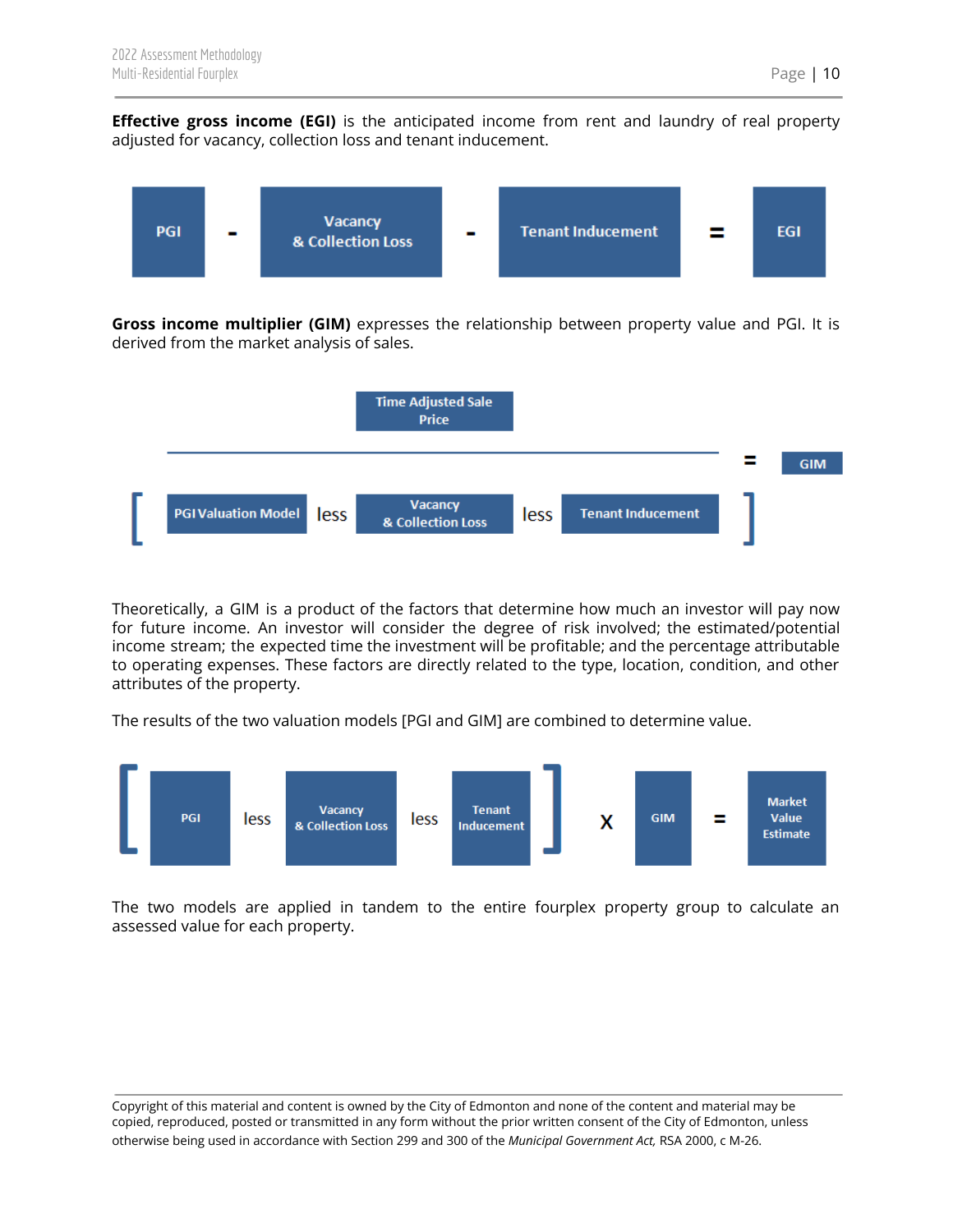**Effective gross income (EGI)** is the anticipated income from rent and laundry of real property adjusted for vacancy, collection loss and tenant inducement.



**Gross income multiplier (GIM)** expresses the relationship between property value and PGI. It is derived from the market analysis of sales.



Theoretically, a GIM is a product of the factors that determine how much an investor will pay now for future income. An investor will consider the degree of risk involved; the estimated/potential income stream; the expected time the investment will be profitable; and the percentage attributable to operating expenses. These factors are directly related to the type, location, condition, and other attributes of the property.

The results of the two valuation models [PGI and GIM] are combined to determine value.



The two models are applied in tandem to the entire fourplex property group to calculate an assessed value for each property.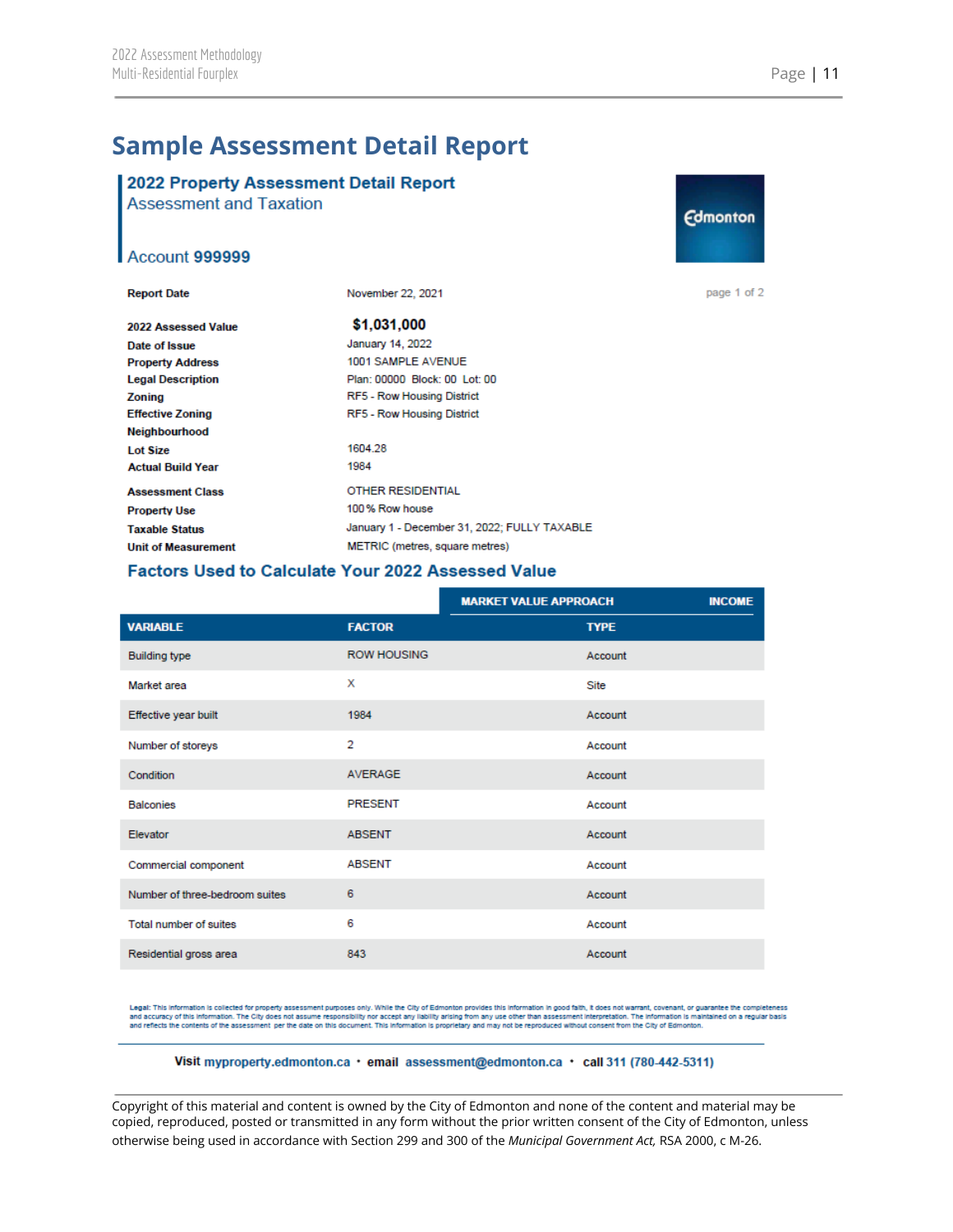## <span id="page-11-0"></span>**Sample Assessment Detail Report**

## 2022 Property Assessment Detail Report

**Assessment and Taxation** 

#### Account 999999

| <b>Report Date</b>         | November 22, 2021                            |
|----------------------------|----------------------------------------------|
| 2022 Assessed Value        | \$1.031.000                                  |
| Date of Issue              | January 14, 2022                             |
| <b>Property Address</b>    | 1001 SAMPLE AVENUE                           |
| <b>Legal Description</b>   | Plan: 00000 Block: 00 Lot: 00                |
| Zoning                     | RF5 - Row Housing District                   |
| <b>Effective Zoning</b>    | <b>RF5 - Row Housing District</b>            |
| <b>Neighbourhood</b>       |                                              |
| <b>Lot Size</b>            | 1604 28                                      |
| <b>Actual Build Year</b>   | 1984                                         |
| <b>Assessment Class</b>    | <b>OTHER RESIDENTIAL</b>                     |
| <b>Property Use</b>        | 100% Row house                               |
| <b>Taxable Status</b>      | January 1 - December 31, 2022; FULLY TAXABLE |
| <b>Unit of Measurement</b> | METRIC (metres, square metres)               |

# **Edmonton**

page 1 of 2

#### **Factors Used to Calculate Your 2022 Assessed Value**

|                                |                    | <b>MARKET VALUE APPROACH</b> | <b>INCOME</b> |
|--------------------------------|--------------------|------------------------------|---------------|
| <b>VARIABLE</b>                | <b>FACTOR</b>      | <b>TYPE</b>                  |               |
| <b>Building type</b>           | <b>ROW HOUSING</b> | Account                      |               |
| Market area                    | x                  | <b>Site</b>                  |               |
| Effective year built           | 1984               | Account                      |               |
| Number of storeys              | $\overline{2}$     | Account                      |               |
| Condition                      | <b>AVERAGE</b>     | Account                      |               |
| <b>Balconies</b>               | <b>PRESENT</b>     | Account                      |               |
| Elevator                       | <b>ABSENT</b>      | Account                      |               |
| Commercial component           | <b>ABSENT</b>      | Account                      |               |
| Number of three-bedroom suites | 6                  | Account                      |               |
| Total number of suites         | 6                  | Account                      |               |
| Residential gross area         | 843                | Account                      |               |

Legal: This information is collected for property assessment purposes only. While the City of Edmonton provides this information in good falth, it does not warrant, covenant, or guarantee the completeness<br>and accuracy of t and reflects the contents of the assessment per the date on this document. This information is proprietary and may not be reproduced without consent from the City of Edmonton.

Visit myproperty.edmonton.ca · email assessment@edmonton.ca · call 311 (780-442-5311)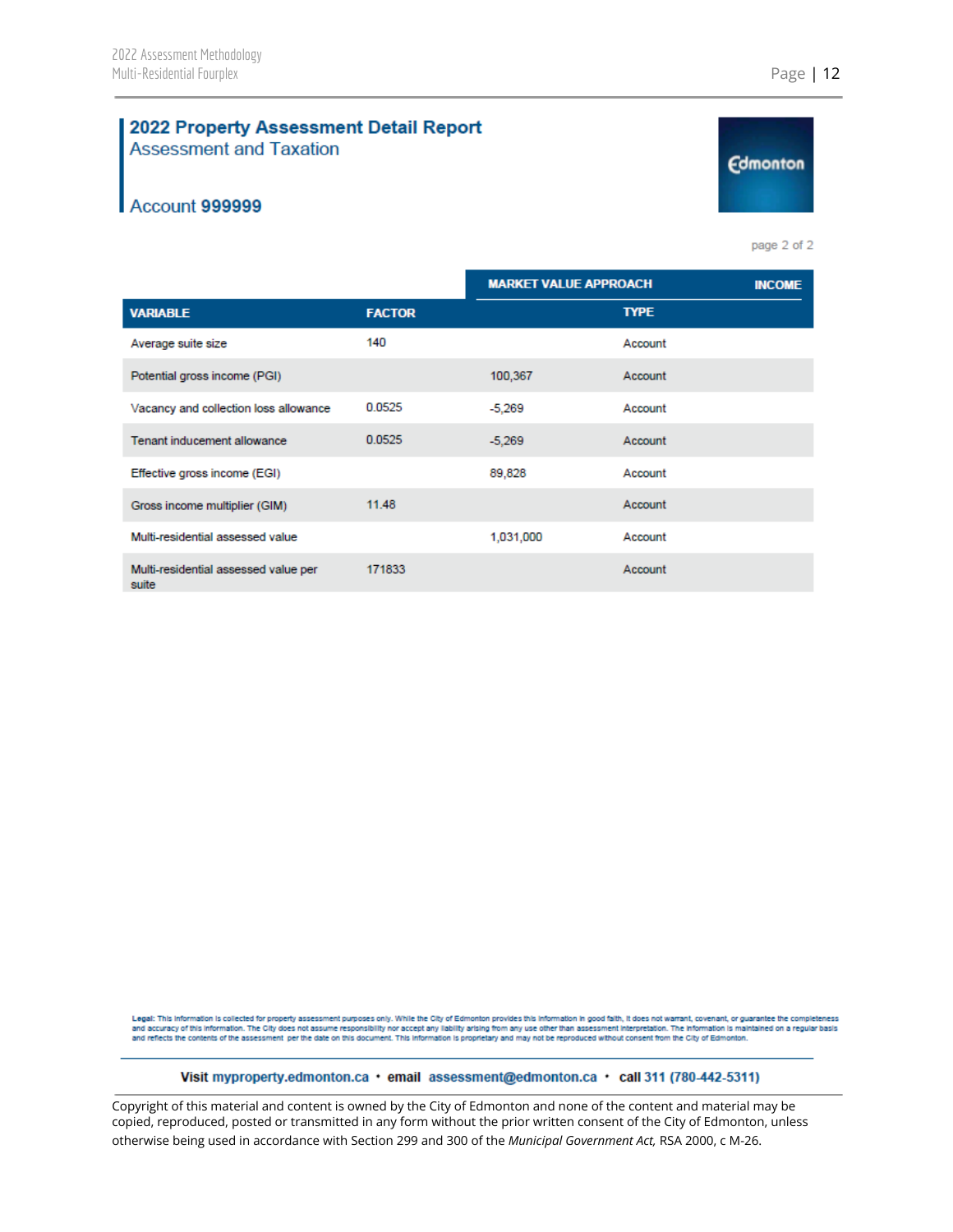#### 2022 Property Assessment Detail Report **Assessment and Taxation**

### Account 999999

page 2 of 2

**Edmonton** 

|                                               |               | <b>MARKET VALUE APPROACH</b> |             | <b>INCOME</b> |
|-----------------------------------------------|---------------|------------------------------|-------------|---------------|
| <b>VARIABLE</b>                               | <b>FACTOR</b> |                              | <b>TYPE</b> |               |
| Average suite size                            | 140           |                              | Account     |               |
| Potential gross income (PGI)                  |               | 100,367                      | Account     |               |
| Vacancy and collection loss allowance         | 0.0525        | $-5,269$                     | Account     |               |
| Tenant inducement allowance                   | 0.0525        | $-5,269$                     | Account     |               |
| Effective gross income (EGI)                  |               | 89,828                       | Account     |               |
| Gross income multiplier (GIM)                 | 11.48         |                              | Account     |               |
| Multi-residential assessed value              |               | 1,031,000                    | Account     |               |
| Multi-residential assessed value per<br>suite | 171833        |                              | Account     |               |

Legal: This information is collected for property assessment purposes only. While the City of Edmonton provides this information in good faith, it does not warrant, covenant, or guarantee the completeness<br>and accuracy of t and reflects the contents of the assessment per the date on this document. This information is proprietary and may not be reproduced without consent from the City of Edmonton.

Visit myproperty.edmonton.ca · email assessment@edmonton.ca · call 311 (780-442-5311)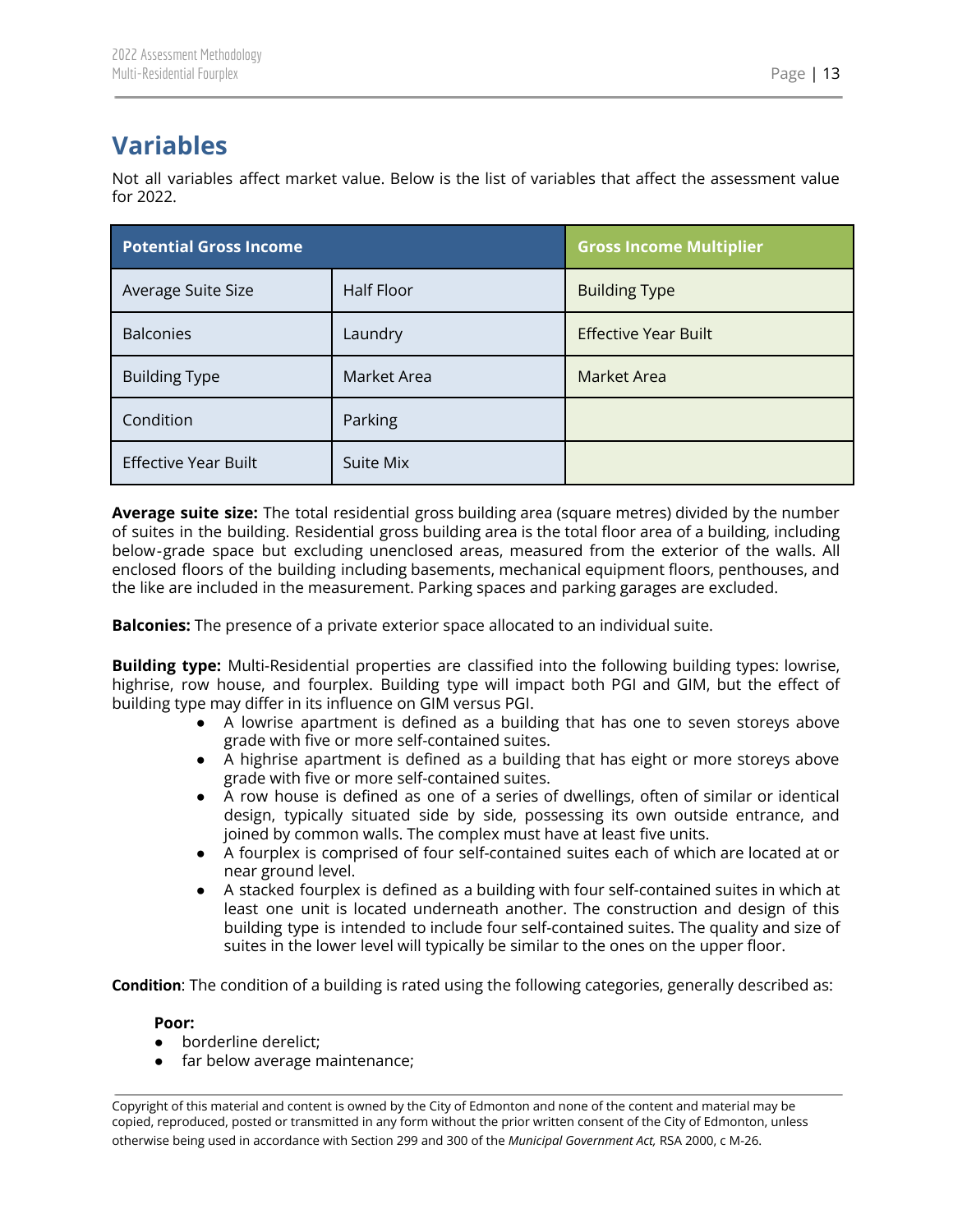# <span id="page-13-0"></span>**Variables**

Not all variables affect market value. Below is the list of variables that affect the assessment value for 2022.

| <b>Potential Gross Income</b> |             | <b>Gross Income Multiplier</b> |
|-------------------------------|-------------|--------------------------------|
| Average Suite Size            | Half Floor  | <b>Building Type</b>           |
| <b>Balconies</b>              | Laundry     | <b>Effective Year Built</b>    |
| <b>Building Type</b>          | Market Area | Market Area                    |
| Condition                     | Parking     |                                |
| <b>Effective Year Built</b>   | Suite Mix   |                                |

**Average suite size:** The total residential gross building area (square metres) divided by the number of suites in the building. Residential gross building area is the total floor area of a building, including below‐grade space but excluding unenclosed areas, measured from the exterior of the walls. All enclosed floors of the building including basements, mechanical equipment floors, penthouses, and the like are included in the measurement. Parking spaces and parking garages are excluded.

**Balconies:** The presence of a private exterior space allocated to an individual suite.

**Building type:** Multi-Residential properties are classified into the following building types: lowrise, highrise, row house, and fourplex. Building type will impact both PGI and GIM, but the effect of building type may differ in its influence on GIM versus PGI.

- A lowrise apartment is defined as a building that has one to seven storeys above grade with five or more self-contained suites.
- A highrise apartment is defined as a building that has eight or more storeys above grade with five or more self-contained suites.
- A row house is defined as one of a series of dwellings, often of similar or identical design, typically situated side by side, possessing its own outside entrance, and joined by common walls. The complex must have at least five units.
- A fourplex is comprised of four self-contained suites each of which are located at or near ground level.
- A stacked fourplex is defined as a building with four self-contained suites in which at least one unit is located underneath another. The construction and design of this building type is intended to include four self-contained suites. The quality and size of suites in the lower level will typically be similar to the ones on the upper floor.

**Condition**: The condition of a building is rated using the following categories, generally described as:

#### **Poor:**

- borderline derelict;
- far below average maintenance;

Copyright of this material and content is owned by the City of Edmonton and none of the content and material may be copied, reproduced, posted or transmitted in any form without the prior written consent of the City of Edmonton, unless otherwise being used in accordance with Section 299 and 300 of the *Municipal Government Act,* RSA 2000, c M-26.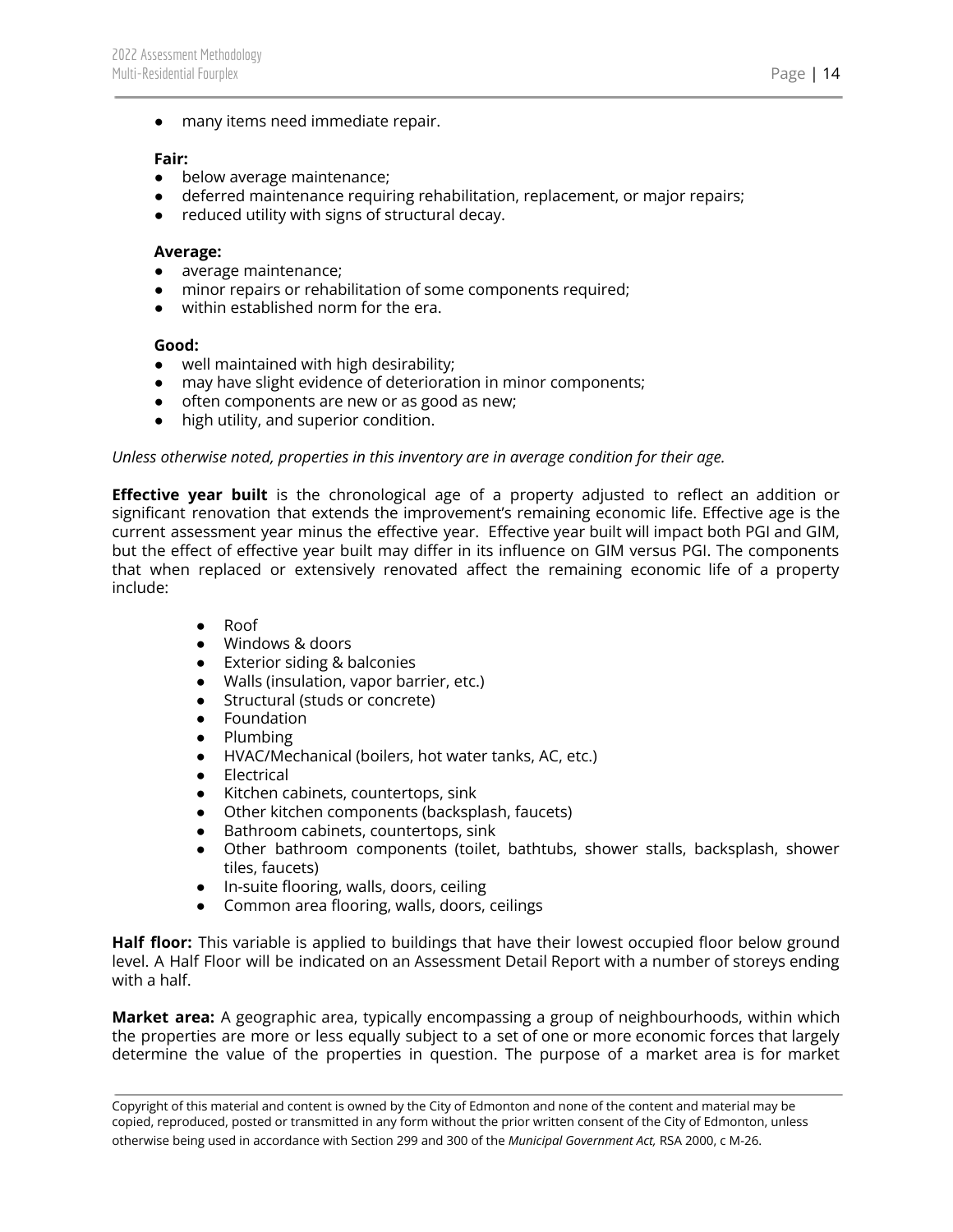● many items need immediate repair.

#### **Fair:**

- below average maintenance;
- deferred maintenance requiring rehabilitation, replacement, or major repairs;
- reduced utility with signs of structural decay.

#### **Average:**

- average maintenance;
- minor repairs or rehabilitation of some components required;
- within established norm for the era.

#### **Good:**

- well maintained with high desirability;
- may have slight evidence of deterioration in minor components;
- often components are new or as good as new;
- high utility, and superior condition.

#### *Unless otherwise noted, properties in this inventory are in average condition for their age.*

**Effective year built** is the chronological age of a property adjusted to reflect an addition or significant renovation that extends the improvement's remaining economic life. Effective age is the current assessment year minus the effective year. Effective year built will impact both PGI and GIM, but the effect of effective year built may differ in its influence on GIM versus PGI. The components that when replaced or extensively renovated affect the remaining economic life of a property include:

- Roof
- Windows & doors
- Exterior siding & balconies
- Walls (insulation, vapor barrier, etc.)
- Structural (studs or concrete)
- Foundation
- Plumbing
- HVAC/Mechanical (boilers, hot water tanks, AC, etc.)
- Electrical
- Kitchen cabinets, countertops, sink
- Other kitchen components (backsplash, faucets)
- Bathroom cabinets, countertops, sink
- Other bathroom components (toilet, bathtubs, shower stalls, backsplash, shower tiles, faucets)
- In-suite flooring, walls, doors, ceiling
- Common area flooring, walls, doors, ceilings

**Half floor:** This variable is applied to buildings that have their lowest occupied floor below ground level. A Half Floor will be indicated on an Assessment Detail Report with a number of storeys ending with a half.

**Market area:** A geographic area, typically encompassing a group of neighbourhoods, within which the properties are more or less equally subject to a set of one or more economic forces that largely determine the value of the properties in question. The purpose of a market area is for market

Copyright of this material and content is owned by the City of Edmonton and none of the content and material may be copied, reproduced, posted or transmitted in any form without the prior written consent of the City of Edmonton, unless otherwise being used in accordance with Section 299 and 300 of the *Municipal Government Act,* RSA 2000, c M-26.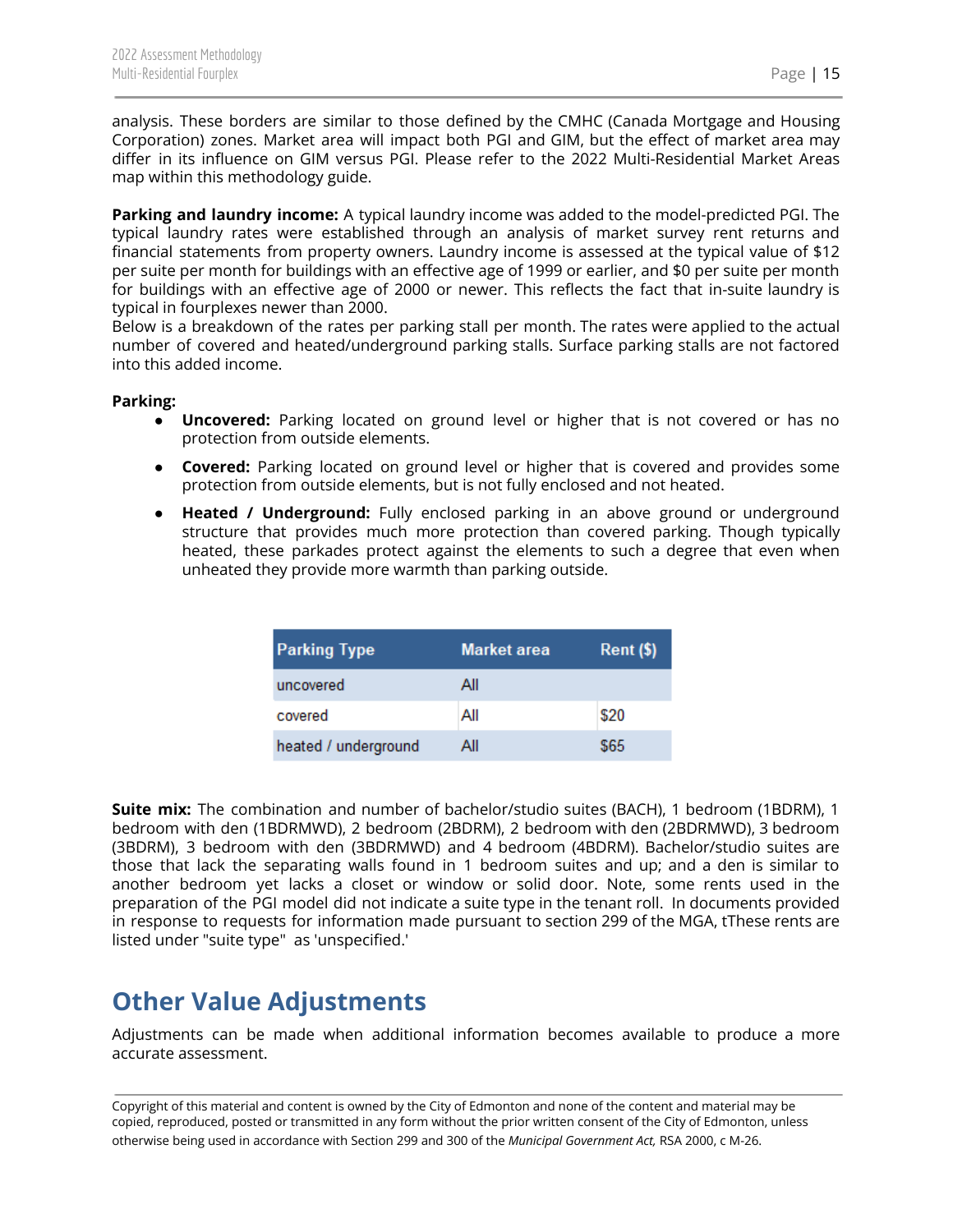analysis. These borders are similar to those defined by the CMHC (Canada Mortgage and Housing Corporation) zones. Market area will impact both PGI and GIM, but the effect of market area may differ in its influence on GIM versus PGI. Please refer to the 2022 Multi-Residential Market Areas map within this methodology guide.

**Parking and laundry income:** A typical laundry income was added to the model-predicted PGI. The typical laundry rates were established through an analysis of market survey rent returns and financial statements from property owners. Laundry income is assessed at the typical value of \$12 per suite per month for buildings with an effective age of 1999 or earlier, and \$0 per suite per month for buildings with an effective age of 2000 or newer. This reflects the fact that in-suite laundry is typical in fourplexes newer than 2000.

Below is a breakdown of the rates per parking stall per month. The rates were applied to the actual number of covered and heated/underground parking stalls. Surface parking stalls are not factored into this added income.

#### **Parking:**

- **Uncovered:** Parking located on ground level or higher that is not covered or has no protection from outside elements.
- **Covered:** Parking located on ground level or higher that is covered and provides some protection from outside elements, but is not fully enclosed and not heated.
- **Heated / Underground:** Fully enclosed parking in an above ground or underground structure that provides much more protection than covered parking. Though typically heated, these parkades protect against the elements to such a degree that even when unheated they provide more warmth than parking outside.

| <b>Parking Type</b>  | <b>Market area</b> | $Rent$ (\$) |
|----------------------|--------------------|-------------|
| uncovered            | All                |             |
| covered              | All                | \$20        |
| heated / underground | All                | \$65        |

**Suite mix:** The combination and number of bachelor/studio suites (BACH), 1 bedroom (1BDRM), 1 bedroom with den (1BDRMWD), 2 bedroom (2BDRM), 2 bedroom with den (2BDRMWD), 3 bedroom (3BDRM), 3 bedroom with den (3BDRMWD) and 4 bedroom (4BDRM). Bachelor/studio suites are those that lack the separating walls found in 1 bedroom suites and up; and a den is similar to another bedroom yet lacks a closet or window or solid door. Note, some rents used in the preparation of the PGI model did not indicate a suite type in the tenant roll. In documents provided in response to requests for information made pursuant to section 299 of the MGA, tThese rents are listed under "suite type" as 'unspecified.'

# <span id="page-15-0"></span>**Other Value Adjustments**

Adjustments can be made when additional information becomes available to produce a more accurate assessment.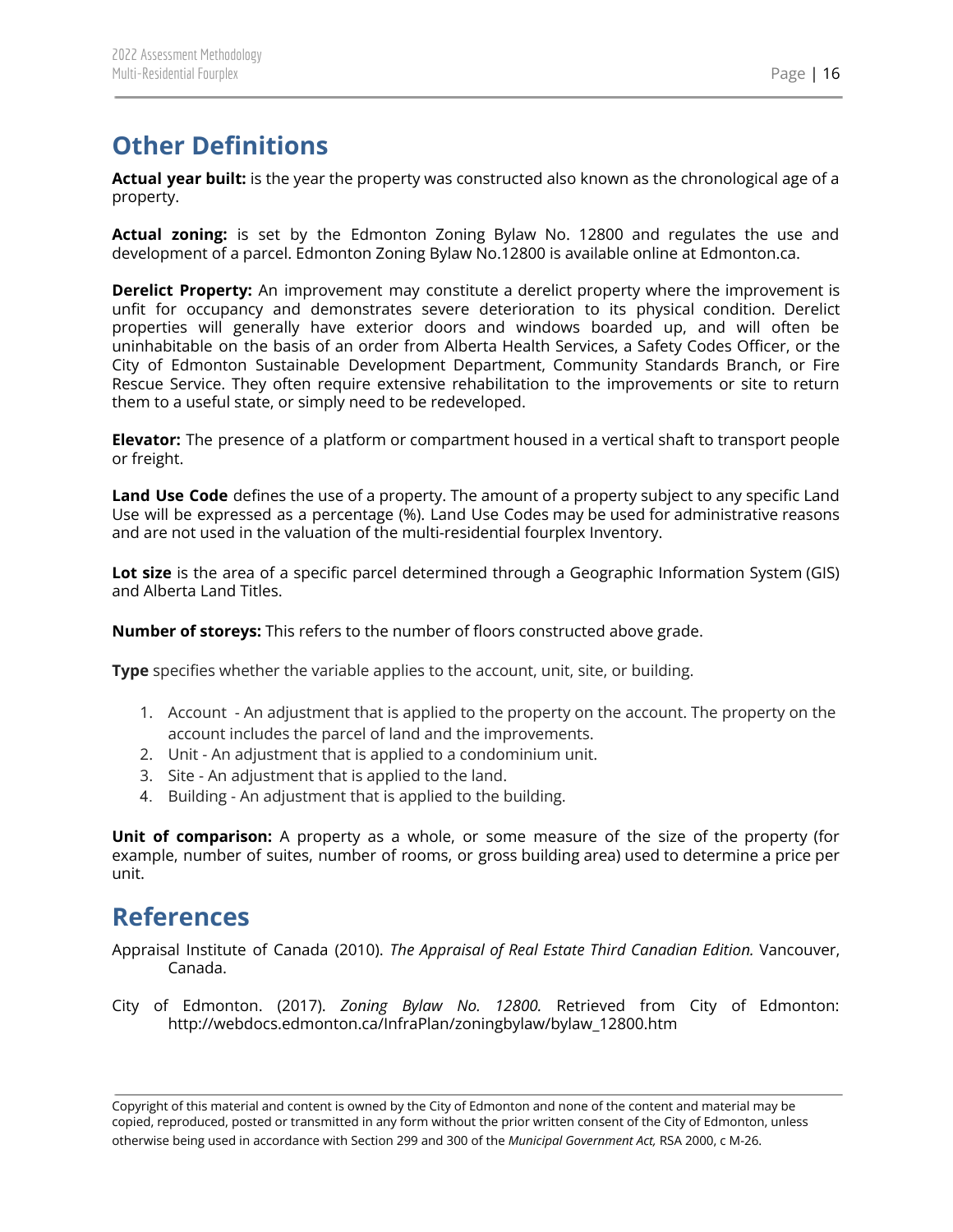# <span id="page-16-0"></span>**Other Definitions**

**Actual year built:** is the year the property was constructed also known as the chronological age of a property.

**Actual zoning:** is set by the Edmonton Zoning Bylaw No. 12800 and regulates the use and development of a parcel. Edmonton Zoning Bylaw No.12800 is available online at Edmonton.ca.

**Derelict Property:** An improvement may constitute a derelict property where the improvement is unfit for occupancy and demonstrates severe deterioration to its physical condition. Derelict properties will generally have exterior doors and windows boarded up, and will often be uninhabitable on the basis of an order from Alberta Health Services, a Safety Codes Officer, or the City of Edmonton Sustainable Development Department, Community Standards Branch, or Fire Rescue Service. They often require extensive rehabilitation to the improvements or site to return them to a useful state, or simply need to be redeveloped.

**Elevator:** The presence of a platform or compartment housed in a vertical shaft to transport people or freight.

**Land Use Code** defines the use of a property. The amount of a property subject to any specific Land Use will be expressed as a percentage (%). Land Use Codes may be used for administrative reasons and are not used in the valuation of the multi-residential fourplex Inventory.

**Lot size** is the area of a specific parcel determined through a Geographic Information System (GIS) and Alberta Land Titles.

**Number of storeys:** This refers to the number of floors constructed above grade.

**Type** specifies whether the variable applies to the account, unit, site, or building.

- 1. Account An adjustment that is applied to the property on the account. The property on the account includes the parcel of land and the improvements.
- 2. Unit An adjustment that is applied to a condominium unit.
- 3. Site An adjustment that is applied to the land.
- 4. Building An adjustment that is applied to the building.

**Unit of comparison:** A property as a whole, or some measure of the size of the property (for example, number of suites, number of rooms, or gross building area) used to determine a price per unit.

## <span id="page-16-1"></span>**References**

- Appraisal Institute of Canada (2010). *The Appraisal of Real Estate Third Canadian Edition.* Vancouver, Canada.
- City of Edmonton. (2017). *Zoning Bylaw No. 12800.* Retrieved from City of Edmonton: http://webdocs.edmonton.ca/InfraPlan/zoningbylaw/bylaw\_12800.htm

Copyright of this material and content is owned by the City of Edmonton and none of the content and material may be copied, reproduced, posted or transmitted in any form without the prior written consent of the City of Edmonton, unless otherwise being used in accordance with Section 299 and 300 of the *Municipal Government Act,* RSA 2000, c M-26.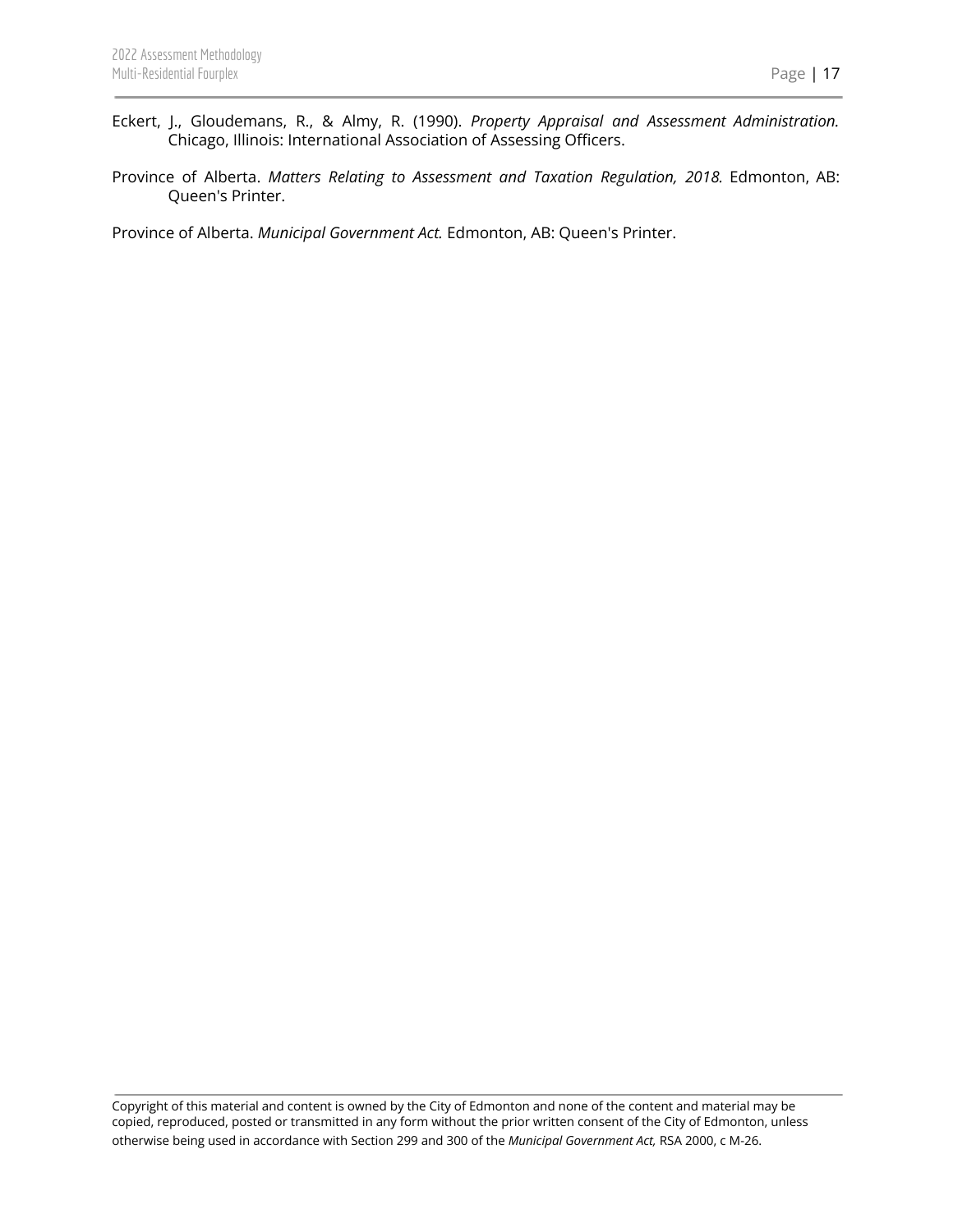- Eckert, J., Gloudemans, R., & Almy, R. (1990). *Property Appraisal and Assessment Administration.* Chicago, Illinois: International Association of Assessing Officers.
- Province of Alberta. *Matters Relating to Assessment and Taxation Regulation, 2018.* Edmonton, AB: Queen's Printer.

Province of Alberta. *Municipal Government Act.* Edmonton, AB: Queen's Printer.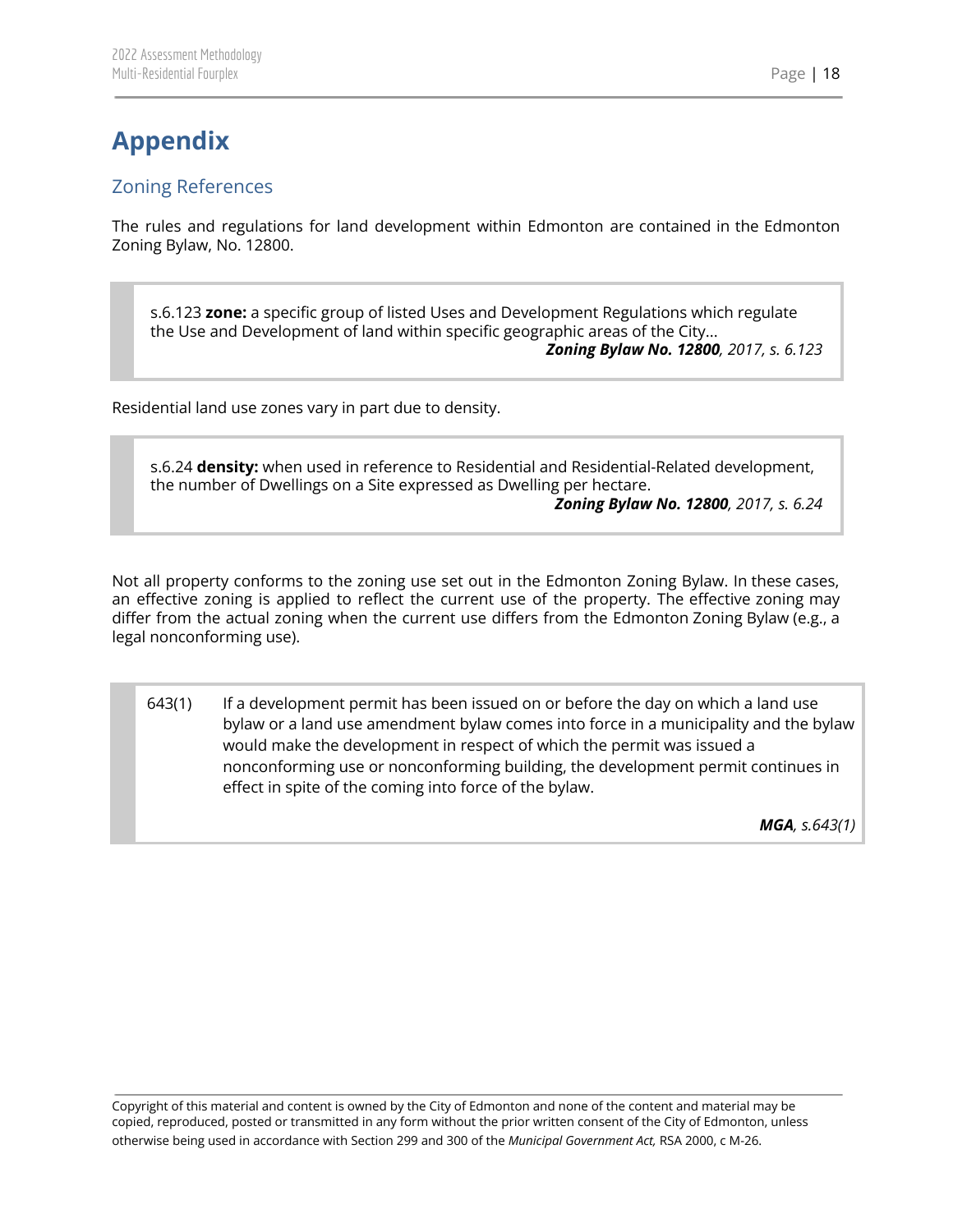## <span id="page-18-1"></span><span id="page-18-0"></span>Zoning References

The rules and regulations for land development within Edmonton are contained in the Edmonton Zoning Bylaw, No. 12800.

s.6.123 **zone:** a specific group of listed Uses and Development Regulations which regulate the Use and Development of land within specific geographic areas of the City... *Zoning Bylaw No. 12800, 2017, s. 6.123*

Residential land use zones vary in part due to density.

s.6.24 **density:** when used in reference to Residential and Residential-Related development, the number of Dwellings on a Site expressed as Dwelling per hectare.

*Zoning Bylaw No. 12800, 2017, s. 6.24*

Not all property conforms to the zoning use set out in the Edmonton Zoning Bylaw. In these cases, an effective zoning is applied to reflect the current use of the property. The effective zoning may differ from the actual zoning when the current use differs from the Edmonton Zoning Bylaw (e.g., a legal nonconforming use).

643(1) If a development permit has been issued on or before the day on which a land use bylaw or a land use amendment bylaw comes into force in a municipality and the bylaw would make the development in respect of which the permit was issued a nonconforming use or nonconforming building, the development permit continues in effect in spite of the coming into force of the bylaw.

*MGA, s.643(1)*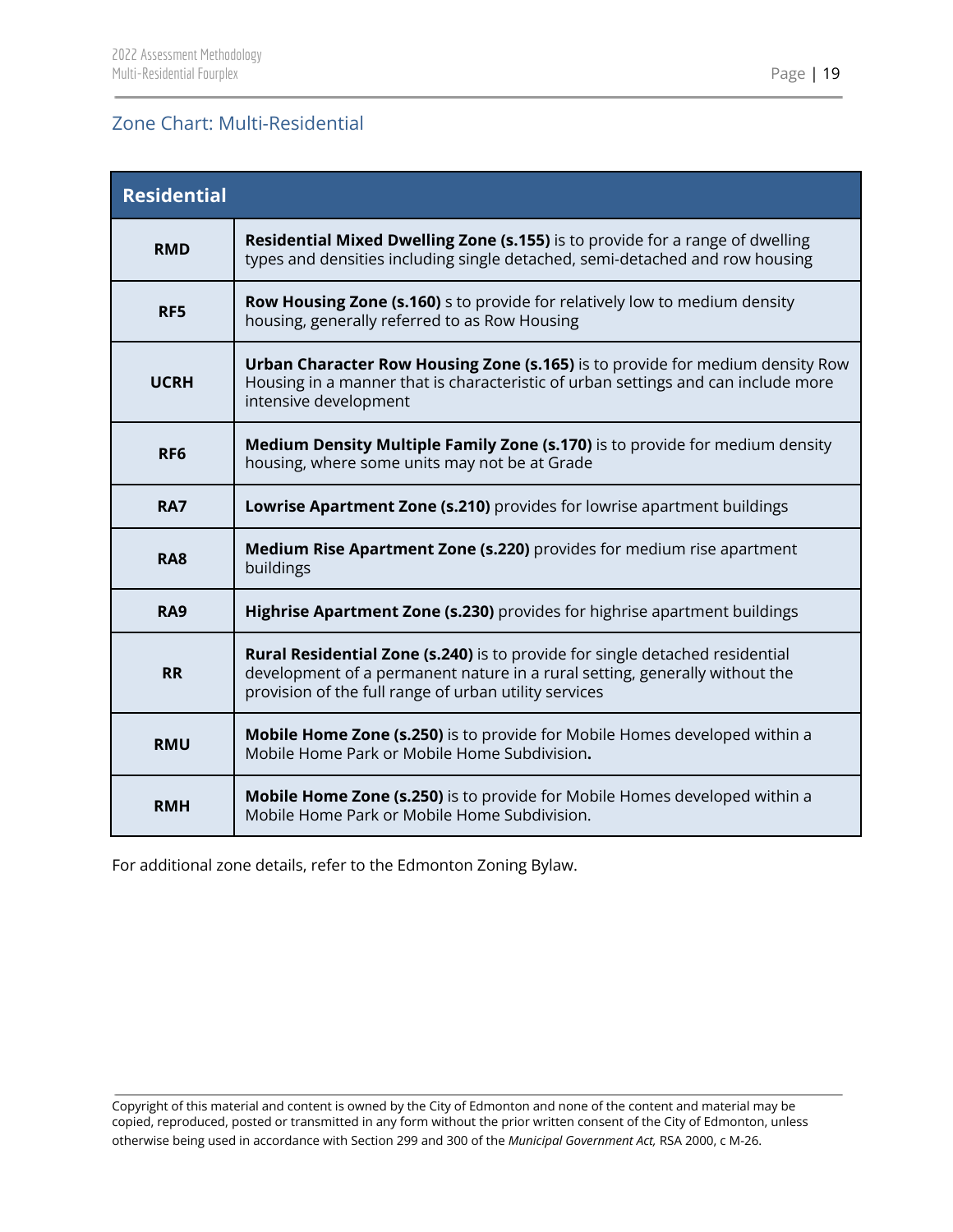## <span id="page-19-0"></span>Zone Chart: Multi-Residential

| <b>Residential</b> |                                                                                                                                                                                                                      |  |  |  |  |  |
|--------------------|----------------------------------------------------------------------------------------------------------------------------------------------------------------------------------------------------------------------|--|--|--|--|--|
| <b>RMD</b>         | Residential Mixed Dwelling Zone (s.155) is to provide for a range of dwelling<br>types and densities including single detached, semi-detached and row housing                                                        |  |  |  |  |  |
| RF5                | <b>Row Housing Zone (s.160)</b> s to provide for relatively low to medium density<br>housing, generally referred to as Row Housing                                                                                   |  |  |  |  |  |
| <b>UCRH</b>        | <b>Urban Character Row Housing Zone (s.165)</b> is to provide for medium density Row<br>Housing in a manner that is characteristic of urban settings and can include more<br>intensive development                   |  |  |  |  |  |
| RF <sub>6</sub>    | Medium Density Multiple Family Zone (s.170) is to provide for medium density<br>housing, where some units may not be at Grade                                                                                        |  |  |  |  |  |
| <b>RA7</b>         | Lowrise Apartment Zone (s.210) provides for lowrise apartment buildings                                                                                                                                              |  |  |  |  |  |
| <b>RA8</b>         | <b>Medium Rise Apartment Zone (s.220)</b> provides for medium rise apartment<br>buildings                                                                                                                            |  |  |  |  |  |
| <b>RA9</b>         | <b>Highrise Apartment Zone (s.230)</b> provides for highrise apartment buildings                                                                                                                                     |  |  |  |  |  |
| <b>RR</b>          | Rural Residential Zone (s.240) is to provide for single detached residential<br>development of a permanent nature in a rural setting, generally without the<br>provision of the full range of urban utility services |  |  |  |  |  |
| <b>RMU</b>         | Mobile Home Zone (s.250) is to provide for Mobile Homes developed within a<br>Mobile Home Park or Mobile Home Subdivision.                                                                                           |  |  |  |  |  |
| <b>RMH</b>         | Mobile Home Zone (s.250) is to provide for Mobile Homes developed within a<br>Mobile Home Park or Mobile Home Subdivision.                                                                                           |  |  |  |  |  |

For additional zone details, refer to the Edmonton Zoning Bylaw.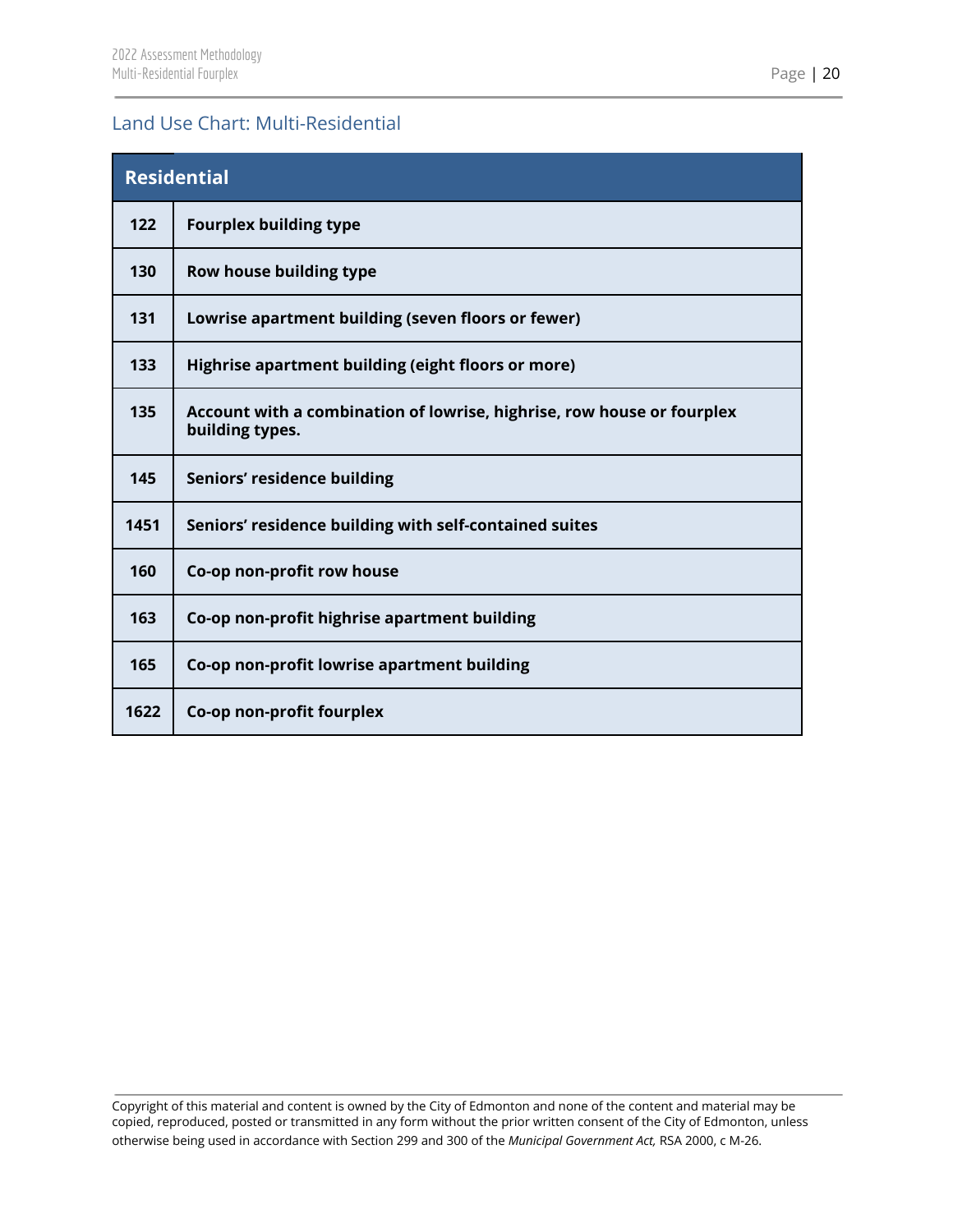## <span id="page-20-0"></span>Land Use Chart: Multi-Residential

| <b>Residential</b> |                                                                                           |  |  |  |  |  |
|--------------------|-------------------------------------------------------------------------------------------|--|--|--|--|--|
| 122                | <b>Fourplex building type</b>                                                             |  |  |  |  |  |
| 130                | Row house building type                                                                   |  |  |  |  |  |
| 131                | Lowrise apartment building (seven floors or fewer)                                        |  |  |  |  |  |
| 133                | Highrise apartment building (eight floors or more)                                        |  |  |  |  |  |
| 135                | Account with a combination of lowrise, highrise, row house or fourplex<br>building types. |  |  |  |  |  |
| 145                | Seniors' residence building                                                               |  |  |  |  |  |
| 1451               | Seniors' residence building with self-contained suites                                    |  |  |  |  |  |
| 160                | Co-op non-profit row house                                                                |  |  |  |  |  |
| 163                | Co-op non-profit highrise apartment building                                              |  |  |  |  |  |
| 165                | Co-op non-profit lowrise apartment building                                               |  |  |  |  |  |
| 1622               | Co-op non-profit fourplex                                                                 |  |  |  |  |  |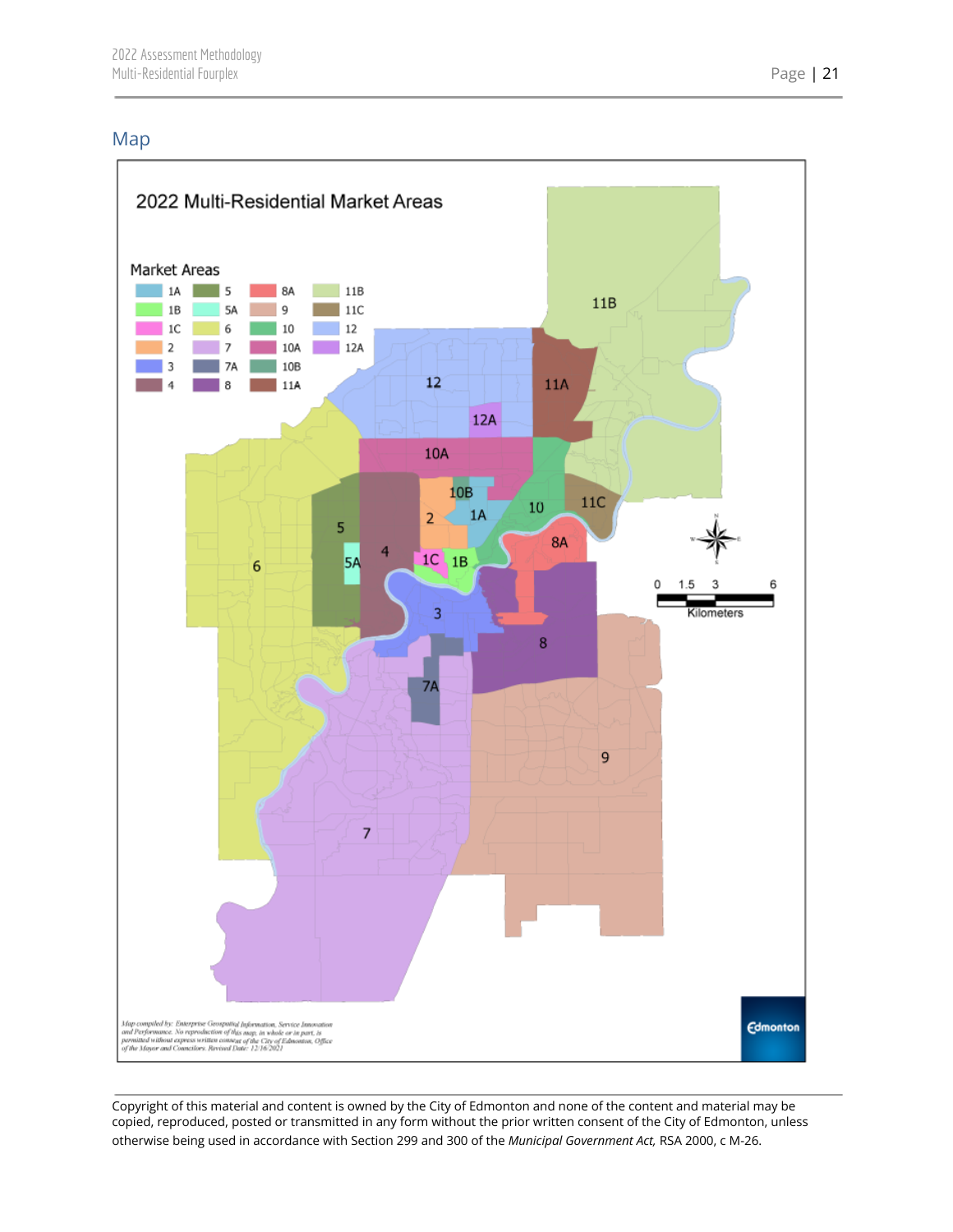## <span id="page-21-0"></span>Map